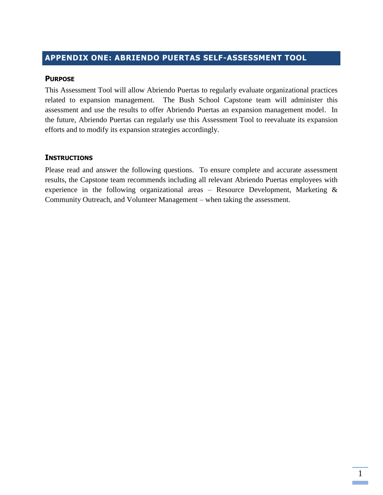# **APPENDIX ONE: ABRIENDO PUERTAS SELF-ASSESSMENT TOOL**

#### **PURPOSE**

This Assessment Tool will allow Abriendo Puertas to regularly evaluate organizational practices related to expansion management. The Bush School Capstone team will administer this assessment and use the results to offer Abriendo Puertas an expansion management model. In the future, Abriendo Puertas can regularly use this Assessment Tool to reevaluate its expansion efforts and to modify its expansion strategies accordingly.

#### **INSTRUCTIONS**

Please read and answer the following questions. To ensure complete and accurate assessment results, the Capstone team recommends including all relevant Abriendo Puertas employees with experience in the following organizational areas – Resource Development, Marketing  $\&$ Community Outreach, and Volunteer Management – when taking the assessment.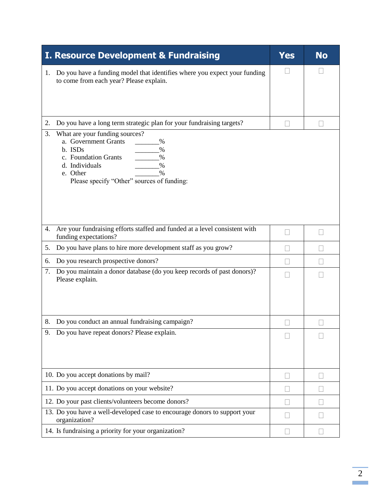| <b>I. Resource Development &amp; Fundraising</b>                                                                                                                                                                 | Yes          | <b>No</b> |
|------------------------------------------------------------------------------------------------------------------------------------------------------------------------------------------------------------------|--------------|-----------|
| Do you have a funding model that identifies where you expect your funding<br>1.<br>to come from each year? Please explain.                                                                                       | $\mathbf{I}$ |           |
| Do you have a long term strategic plan for your fundraising targets?<br>2.                                                                                                                                       |              |           |
| What are your funding sources?<br>3.<br>a. Government Grants<br>$\%$<br>b. ISDs<br>$\%$<br>c. Foundation Grants<br>$\%$<br>d. Individuals<br>%<br>e. Other<br>$\%$<br>Please specify "Other" sources of funding: |              |           |
| Are your fundraising efforts staffed and funded at a level consistent with<br>4.<br>funding expectations?                                                                                                        | L            |           |
| Do you have plans to hire more development staff as you grow?<br>5.                                                                                                                                              |              |           |
| Do you research prospective donors?<br>6.                                                                                                                                                                        |              |           |
| Do you maintain a donor database (do you keep records of past donors)?<br>7.<br>Please explain.                                                                                                                  |              |           |
| 8. Do you conduct an annual fundraising campaign?                                                                                                                                                                |              |           |
| Do you have repeat donors? Please explain.<br>9.                                                                                                                                                                 |              |           |
| 10. Do you accept donations by mail?                                                                                                                                                                             |              |           |
| 11. Do you accept donations on your website?                                                                                                                                                                     |              |           |
| 12. Do your past clients/volunteers become donors?                                                                                                                                                               |              |           |
| 13. Do you have a well-developed case to encourage donors to support your<br>organization?                                                                                                                       |              |           |
| 14. Is fundraising a priority for your organization?                                                                                                                                                             |              |           |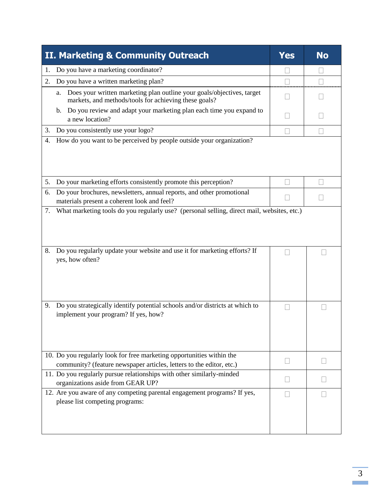| II. Marketing & Community Outreach                                                                                                            | <b>Yes</b> | <b>No</b> |
|-----------------------------------------------------------------------------------------------------------------------------------------------|------------|-----------|
| Do you have a marketing coordinator?<br>1.                                                                                                    |            |           |
| Do you have a written marketing plan?<br>2.                                                                                                   |            |           |
| Does your written marketing plan outline your goals/objectives, target<br>a.<br>markets, and methods/tools for achieving these goals?         |            |           |
| Do you review and adapt your marketing plan each time you expand to<br>$\mathbf{b}$ .<br>a new location?                                      |            |           |
| Do you consistently use your logo?<br>3.                                                                                                      |            |           |
| How do you want to be perceived by people outside your organization?<br>4.                                                                    |            |           |
| 5.<br>Do your marketing efforts consistently promote this perception?                                                                         |            |           |
| Do your brochures, newsletters, annual reports, and other promotional<br>6.<br>materials present a coherent look and feel?                    |            |           |
| Do you regularly update your website and use it for marketing efforts? If<br>8.<br>yes, how often?                                            |            |           |
| Do you strategically identify potential schools and/or districts at which to<br>9.<br>implement your program? If yes, how?                    |            |           |
| 10. Do you regularly look for free marketing opportunities within the<br>community? (feature newspaper articles, letters to the editor, etc.) |            |           |
| 11. Do you regularly pursue relationships with other similarly-minded<br>organizations aside from GEAR UP?                                    |            |           |
| 12. Are you aware of any competing parental engagement programs? If yes,<br>please list competing programs:                                   |            |           |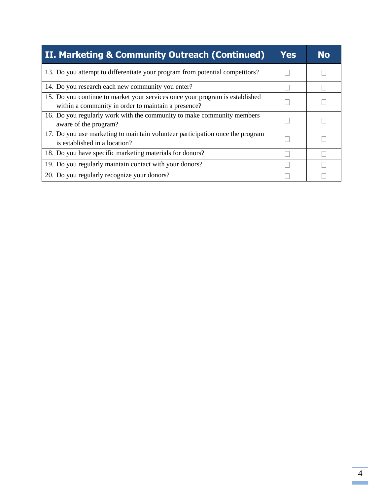| II. Marketing & Community Outreach (Continued)                                                                                      | Yes | <b>No</b> |
|-------------------------------------------------------------------------------------------------------------------------------------|-----|-----------|
| 13. Do you attempt to differentiate your program from potential competitors?                                                        |     |           |
| 14. Do you research each new community you enter?                                                                                   |     |           |
| 15. Do you continue to market your services once your program is established<br>within a community in order to maintain a presence? |     |           |
| 16. Do you regularly work with the community to make community members<br>aware of the program?                                     |     |           |
| 17. Do you use marketing to maintain volunteer participation once the program<br>is established in a location?                      |     |           |
| 18. Do you have specific marketing materials for donors?                                                                            |     |           |
| 19. Do you regularly maintain contact with your donors?                                                                             |     |           |
| 20. Do you regularly recognize your donors?                                                                                         |     |           |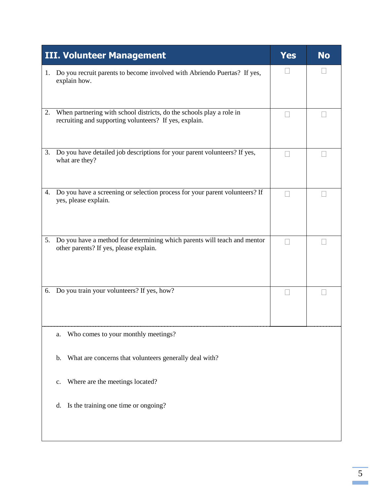| <b>III. Volunteer Management</b>                                                                                                     | Yes | <b>No</b> |
|--------------------------------------------------------------------------------------------------------------------------------------|-----|-----------|
| Do you recruit parents to become involved with Abriendo Puertas? If yes,<br>1.<br>explain how.                                       |     |           |
| When partnering with school districts, do the schools play a role in<br>2.<br>recruiting and supporting volunteers? If yes, explain. |     |           |
| 3. Do you have detailed job descriptions for your parent volunteers? If yes,<br>what are they?                                       |     |           |
| Do you have a screening or selection process for your parent volunteers? If<br>4.<br>yes, please explain.                            |     |           |
| Do you have a method for determining which parents will teach and mentor<br>5.<br>other parents? If yes, please explain.             |     |           |
| 6. Do you train your volunteers? If yes, how?                                                                                        |     |           |
| Who comes to your monthly meetings?<br>a.                                                                                            |     |           |
| What are concerns that volunteers generally deal with?<br>b.                                                                         |     |           |
| Where are the meetings located?<br>c.                                                                                                |     |           |
| Is the training one time or ongoing?<br>d.                                                                                           |     |           |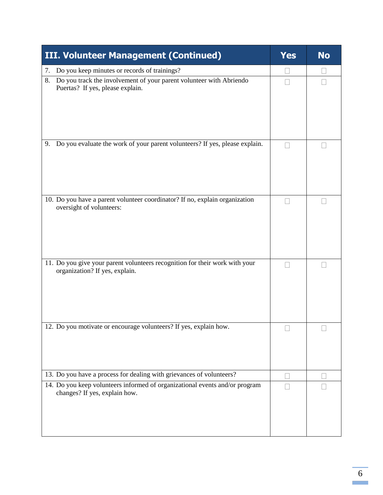| <b>III. Volunteer Management (Continued)</b>                                                                  | <b>Yes</b> | <b>No</b> |
|---------------------------------------------------------------------------------------------------------------|------------|-----------|
| Do you keep minutes or records of trainings?<br>7.                                                            |            |           |
| Do you track the involvement of your parent volunteer with Abriendo<br>8.<br>Puertas? If yes, please explain. |            |           |
| Do you evaluate the work of your parent volunteers? If yes, please explain.<br>9.                             |            |           |
| 10. Do you have a parent volunteer coordinator? If no, explain organization<br>oversight of volunteers:       |            |           |
| 11. Do you give your parent volunteers recognition for their work with your<br>organization? If yes, explain. |            |           |
| 12. Do you motivate or encourage volunteers? If yes, explain how.                                             |            |           |
| 13. Do you have a process for dealing with grievances of volunteers?                                          |            |           |
| 14. Do you keep volunteers informed of organizational events and/or program<br>changes? If yes, explain how.  |            |           |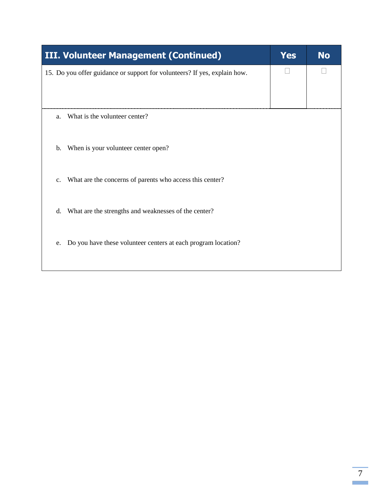| <b>III. Volunteer Management (Continued)</b>                               | <b>Yes</b> | <b>No</b> |
|----------------------------------------------------------------------------|------------|-----------|
| 15. Do you offer guidance or support for volunteers? If yes, explain how.  |            |           |
| What is the volunteer center?<br>a.                                        |            |           |
| When is your volunteer center open?<br>b.                                  |            |           |
| What are the concerns of parents who access this center?<br>$\mathbf{C}$ . |            |           |
| What are the strengths and weaknesses of the center?<br>d.                 |            |           |
| Do you have these volunteer centers at each program location?<br>e.        |            |           |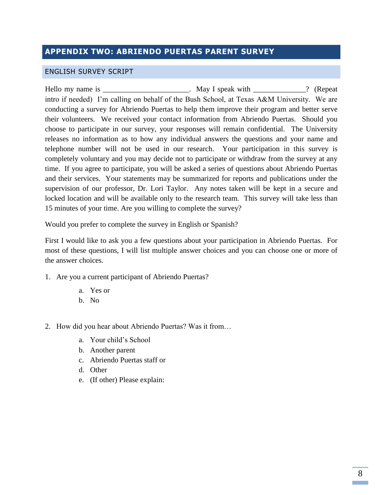# **APPENDIX TWO: ABRIENDO PUERTAS PARENT SURVEY**

#### ENGLISH SURVEY SCRIPT

Hello my name is \_\_\_\_\_\_\_\_\_\_\_\_\_\_\_\_\_\_\_\_\_\_\_\_\_. May I speak with \_\_\_\_\_\_\_\_\_\_\_\_? (Repeat intro if needed) I'm calling on behalf of the Bush School, at Texas A&M University. We are conducting a survey for Abriendo Puertas to help them improve their program and better serve their volunteers. We received your contact information from Abriendo Puertas. Should you choose to participate in our survey, your responses will remain confidential. The University releases no information as to how any individual answers the questions and your name and telephone number will not be used in our research. Your participation in this survey is completely voluntary and you may decide not to participate or withdraw from the survey at any time. If you agree to participate, you will be asked a series of questions about Abriendo Puertas and their services. Your statements may be summarized for reports and publications under the supervision of our professor, Dr. Lori Taylor. Any notes taken will be kept in a secure and locked location and will be available only to the research team. This survey will take less than 15 minutes of your time. Are you willing to complete the survey?

Would you prefer to complete the survey in English or Spanish?

First I would like to ask you a few questions about your participation in Abriendo Puertas. For most of these questions, I will list multiple answer choices and you can choose one or more of the answer choices.

- 1. Are you a current participant of Abriendo Puertas?
	- a. Yes or
	- b. No
- 2. How did you hear about Abriendo Puertas? Was it from…
	- a. Your child's School
	- b. Another parent
	- c. Abriendo Puertas staff or
	- d. Other
	- e. (If other) Please explain: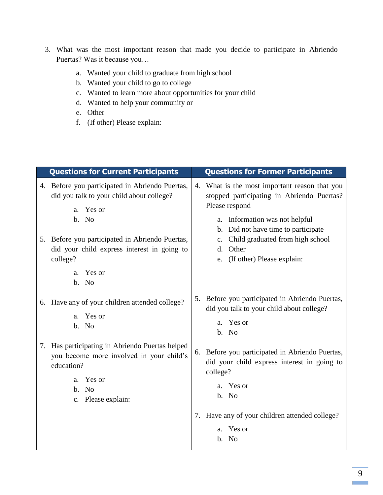- 3. What was the most important reason that made you decide to participate in Abriendo Puertas? Was it because you…
	- a. Wanted your child to graduate from high school
	- b. Wanted your child to go to college
	- c. Wanted to learn more about opportunities for your child
	- d. Wanted to help your community or
	- e. Other
	- f. (If other) Please explain:

| <b>Questions for Current Participants</b>                                                                                                                                                                                                                 | <b>Questions for Former Participants</b>                                                                                                                                                                                                                                                           |
|-----------------------------------------------------------------------------------------------------------------------------------------------------------------------------------------------------------------------------------------------------------|----------------------------------------------------------------------------------------------------------------------------------------------------------------------------------------------------------------------------------------------------------------------------------------------------|
| 4. Before you participated in Abriendo Puertas,<br>did you talk to your child about college?<br>a. Yes or<br>b. No<br>5. Before you participated in Abriendo Puertas,<br>did your child express interest in going to<br>college?<br>Yes or<br>a.<br>b. No | What is the most important reason that you<br>4.<br>stopped participating in Abriendo Puertas?<br>Please respond<br>Information was not helpful<br>a.<br>b. Did not have time to participate<br>Child graduated from high school<br>$c_{\cdot}$<br>Other<br>d.<br>(If other) Please explain:<br>e. |
| 6. Have any of your children attended college?<br>Yes or<br>a.<br>b. No                                                                                                                                                                                   | Before you participated in Abriendo Puertas,<br>5.<br>did you talk to your child about college?<br>a. Yes or<br>b. No                                                                                                                                                                              |
| 7. Has participating in Abriendo Puertas helped<br>you become more involved in your child's<br>education?<br>Yes or<br>a.<br>b. No<br>c. Please explain:                                                                                                  | Before you participated in Abriendo Puertas,<br>6.<br>did your child express interest in going to<br>college?<br>Yes or<br>a.<br>b. No<br>Have any of your children attended college?<br>7.<br>a. Yes or<br>b. No                                                                                  |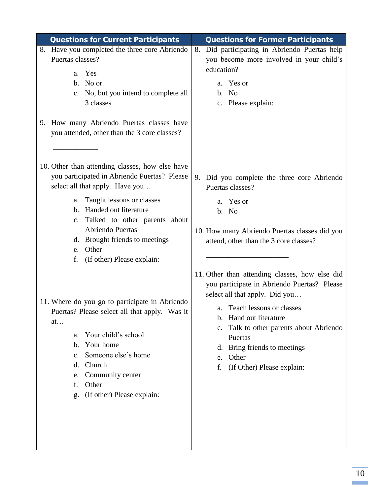| <b>Questions for Current Participants</b>                                                                                                                                                                                                                                                                                                                                                                                                                                                                                                                                                                                                                                | <b>Questions for Former Participants</b>                                                                                                                                                                                                                                                                                                                                                                                                                                                                                    |
|--------------------------------------------------------------------------------------------------------------------------------------------------------------------------------------------------------------------------------------------------------------------------------------------------------------------------------------------------------------------------------------------------------------------------------------------------------------------------------------------------------------------------------------------------------------------------------------------------------------------------------------------------------------------------|-----------------------------------------------------------------------------------------------------------------------------------------------------------------------------------------------------------------------------------------------------------------------------------------------------------------------------------------------------------------------------------------------------------------------------------------------------------------------------------------------------------------------------|
| 8. Have you completed the three core Abriendo<br>Puertas classes?<br>a. Yes<br>b. No or<br>c. No, but you intend to complete all<br>3 classes<br>9. How many Abriendo Puertas classes have<br>you attended, other than the 3 core classes?                                                                                                                                                                                                                                                                                                                                                                                                                               | Did participating in Abriendo Puertas help<br>8.<br>you become more involved in your child's<br>education?<br>a. Yes or<br>b. No<br>c. Please explain:                                                                                                                                                                                                                                                                                                                                                                      |
| 10. Other than attending classes, how else have<br>you participated in Abriendo Puertas? Please<br>select all that apply. Have you<br>Taught lessons or classes<br>a.<br>Handed out literature<br>$\mathbf{b}$ .<br>c. Talked to other parents about<br>Abriendo Puertas<br>d. Brought friends to meetings<br>Other<br>e.<br>(If other) Please explain:<br>f.<br>11. Where do you go to participate in Abriendo<br>Puertas? Please select all that apply. Was it<br>at<br>Your child's school<br>a.<br>Your home<br>$\mathbf{b}$ .<br>Someone else's home<br>$\mathbf{c}$ .<br>Church<br>d.<br>Community center<br>e.<br>Other<br>f.<br>(If other) Please explain:<br>g. | 9. Did you complete the three core Abriendo<br>Puertas classes?<br>a. Yes or<br>b. No<br>10. How many Abriendo Puertas classes did you<br>attend, other than the 3 core classes?<br>11. Other than attending classes, how else did<br>you participate in Abriendo Puertas? Please<br>select all that apply. Did you<br>a. Teach lessons or classes<br>b. Hand out literature<br>Talk to other parents about Abriendo<br>c.<br>Puertas<br>Bring friends to meetings<br>d.<br>Other<br>e.<br>f.<br>(If Other) Please explain: |
|                                                                                                                                                                                                                                                                                                                                                                                                                                                                                                                                                                                                                                                                          |                                                                                                                                                                                                                                                                                                                                                                                                                                                                                                                             |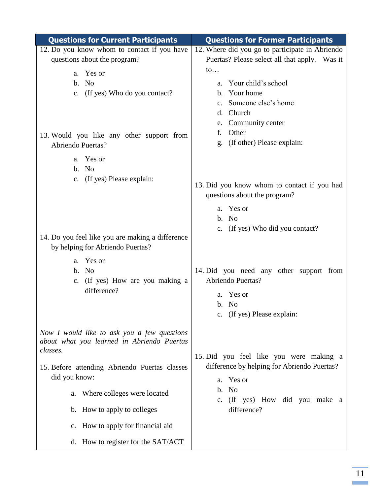| <b>Questions for Current Participants</b>                                                             | <b>Questions for Former Participants</b>                    |
|-------------------------------------------------------------------------------------------------------|-------------------------------------------------------------|
| 12. Do you know whom to contact if you have                                                           | 12. Where did you go to participate in Abriendo             |
| questions about the program?                                                                          | Puertas? Please select all that apply. Was it               |
| a. Yes or                                                                                             | $\mathfrak{to}$                                             |
| b. No                                                                                                 | Your child's school<br>a.                                   |
| c. (If yes) Who do you contact?                                                                       | Your home<br>$\mathbf{b}$ .                                 |
|                                                                                                       | Someone else's home<br>$\mathbf{c}$ .                       |
|                                                                                                       | Church<br>d.                                                |
|                                                                                                       | Community center<br>e.                                      |
| 13. Would you like any other support from                                                             | Other<br>f.                                                 |
| Abriendo Puertas?                                                                                     | (If other) Please explain:<br>g.                            |
| a. Yes or<br>b. No<br>c. (If yes) Please explain:                                                     | 13. Did you know whom to contact if you had                 |
|                                                                                                       | questions about the program?                                |
|                                                                                                       | a. Yes or                                                   |
|                                                                                                       | b. No                                                       |
|                                                                                                       | c. (If yes) Who did you contact?                            |
| 14. Do you feel like you are making a difference                                                      |                                                             |
| by helping for Abriendo Puertas?                                                                      |                                                             |
| a. Yes or                                                                                             |                                                             |
| b. No                                                                                                 | 14. Did you need any other support from                     |
| c. (If yes) How are you making a                                                                      | Abriendo Puertas?                                           |
| difference?                                                                                           | a. Yes or                                                   |
|                                                                                                       | b. No                                                       |
|                                                                                                       | c. (If yes) Please explain:                                 |
| Now I would like to ask you a few questions<br>about what you learned in Abriendo Puertas<br>classes. |                                                             |
|                                                                                                       | 15. Did you feel like you were making a                     |
| 15. Before attending Abriendo Puertas classes<br>did you know:                                        | difference by helping for Abriendo Puertas?<br>Yes or<br>a. |
| Where colleges were located<br>a.                                                                     | <b>No</b><br>b.<br>(If yes) How did you make a<br>c.        |
| b. How to apply to colleges                                                                           | difference?                                                 |
| c. How to apply for financial aid                                                                     |                                                             |
| d. How to register for the SAT/ACT                                                                    |                                                             |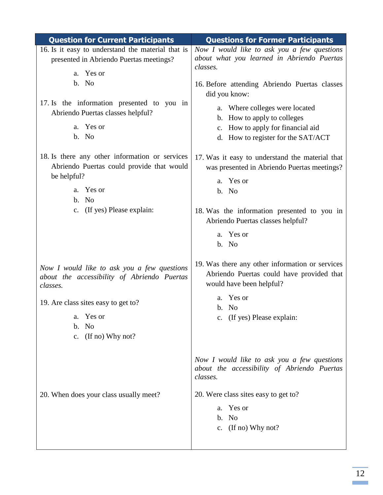| <b>Question for Current Participants</b>                                                                                                                                                                           | <b>Questions for Former Participants</b>                                                                                                                                                                                                                                      |
|--------------------------------------------------------------------------------------------------------------------------------------------------------------------------------------------------------------------|-------------------------------------------------------------------------------------------------------------------------------------------------------------------------------------------------------------------------------------------------------------------------------|
| 16. Is it easy to understand the material that is<br>presented in Abriendo Puertas meetings?<br>a. Yes or<br>b. No<br>17. Is the information presented to you in<br>Abriendo Puertas classes helpful?<br>a. Yes or | Now I would like to ask you a few questions<br>about what you learned in Abriendo Puertas<br>classes.<br>16. Before attending Abriendo Puertas classes<br>did you know:<br>a. Where colleges were located<br>b. How to apply to colleges<br>c. How to apply for financial aid |
| b. No<br>18. Is there any other information or services<br>Abriendo Puertas could provide that would                                                                                                               | d. How to register for the SAT/ACT<br>17. Was it easy to understand the material that<br>was presented in Abriendo Puertas meetings?                                                                                                                                          |
| be helpful?<br>a. Yes or<br>b. No<br>c. (If yes) Please explain:                                                                                                                                                   | a. Yes or<br>b. No<br>18. Was the information presented to you in<br>Abriendo Puertas classes helpful?<br>a. Yes or                                                                                                                                                           |
| Now I would like to ask you a few questions<br>about the accessibility of Abriendo Puertas<br>classes.<br>19. Are class sites easy to get to?<br>Yes or<br>a.<br>b. No<br>c. (If no) Why not?                      | b. No<br>19. Was there any other information or services<br>Abriendo Puertas could have provided that<br>would have been helpful?<br>a. Yes or<br>b. No<br>c. (If yes) Please explain:                                                                                        |
| 20. When does your class usually meet?                                                                                                                                                                             | Now I would like to ask you a few questions<br>about the accessibility of Abriendo Puertas<br>classes.<br>20. Were class sites easy to get to?<br>Yes or<br>a.<br>No<br>$\mathbf{b}$ .<br>c. $($ If no $)$ Why not?                                                           |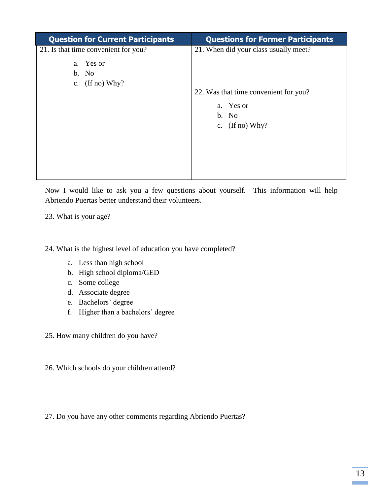| <b>Question for Current Participants</b> | <b>Questions for Former Participants</b> |
|------------------------------------------|------------------------------------------|
| 21. Is that time convenient for you?     | 21. When did your class usually meet?    |
| a. Yes or                                |                                          |
| b. No                                    |                                          |
| c. $($ If no $)$ Why?                    |                                          |
|                                          | 22. Was that time convenient for you?    |
|                                          | a. Yes or                                |
|                                          | b. No                                    |
|                                          | c. $($ If no) Why?                       |
|                                          |                                          |
|                                          |                                          |
|                                          |                                          |
|                                          |                                          |
|                                          |                                          |

Now I would like to ask you a few questions about yourself. This information will help Abriendo Puertas better understand their volunteers.

23. What is your age?

24. What is the highest level of education you have completed?

- a. Less than high school
- b. High school diploma/GED
- c. Some college
- d. Associate degree
- e. Bachelors' degree
- f. Higher than a bachelors' degree

25. How many children do you have?

- 26. Which schools do your children attend?
- 27. Do you have any other comments regarding Abriendo Puertas?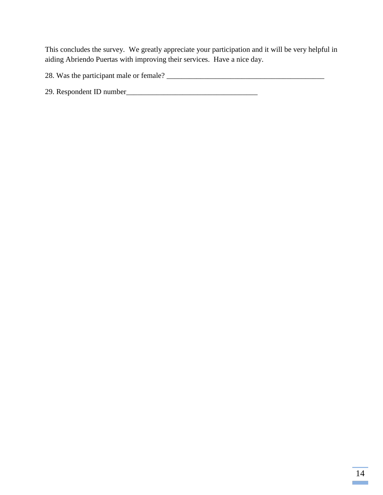This concludes the survey. We greatly appreciate your participation and it will be very helpful in aiding Abriendo Puertas with improving their services. Have a nice day.

28. Was the participant male or female? \_\_\_\_\_\_\_\_\_\_\_\_\_\_\_\_\_\_\_\_\_\_\_\_\_\_\_\_\_\_\_\_\_\_\_\_\_\_\_\_\_\_

29. Respondent ID number\_\_\_\_\_\_\_\_\_\_\_\_\_\_\_\_\_\_\_\_\_\_\_\_\_\_\_\_\_\_\_\_\_\_\_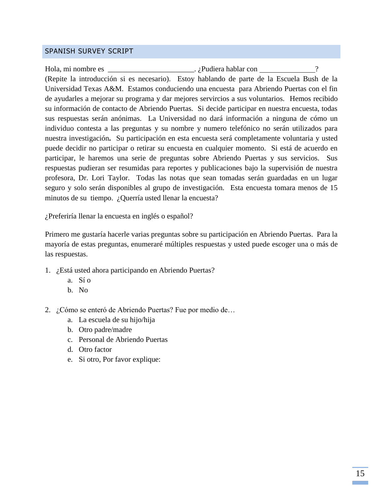#### SPANISH SURVEY SCRIPT

Hola, mi nombre es \_\_\_\_\_\_\_\_\_\_\_\_\_\_\_\_\_\_\_\_\_\_\_\_\_\_\_\_\_. ¿Pudiera hablar con (Repite la introducción si es necesario). Estoy hablando de parte de la Escuela Bush de la Universidad Texas A&M. Estamos conduciendo una encuesta para Abriendo Puertas con el fin de ayudarles a mejorar su programa y dar mejores servircios a sus voluntarios.Hemos recibido su información de contacto de Abriendo Puertas. Si decide participar en nuestra encuesta, todas sus respuestas serán anónimas. La Universidad no dará información a ninguna de cómo un individuo contesta a las preguntas y su nombre y numero telefónico no serán utilizados para nuestra investigación**.** Su participación en esta encuesta será completamente voluntaria y usted puede decidir no participar o retirar su encuesta en cualquier momento. Si está de acuerdo en participar, le haremos una serie de preguntas sobre Abriendo Puertas y sus servicios. Sus respuestas pudieran ser resumidas para reportes y publicaciones bajo la supervisión de nuestra profesora, Dr. Lori Taylor. Todas las notas que sean tomadas serán guardadas en un lugar seguro y solo serán disponibles al grupo de investigación.Esta encuesta tomara menos de 15 minutos de su tiempo. ¿Querría usted llenar la encuesta?

¿Preferiría llenar la encuesta en inglés o español?

Primero me gustaría hacerle varias preguntas sobre su participación en Abriendo Puertas. Para la mayoría de estas preguntas, enumeraré múltiples respuestas y usted puede escoger una o más de las respuestas.

- 1. ¿Está usted ahora participando en Abriendo Puertas?
	- a. Sí o
	- b. No
- 2. ¿Cómo se enteró de Abriendo Puertas? Fue por medio de…
	- a. La escuela de su hijo/hija
	- b. Otro padre/madre
	- c. Personal de Abriendo Puertas
	- d. Otro factor
	- e. Si otro, Por favor explique: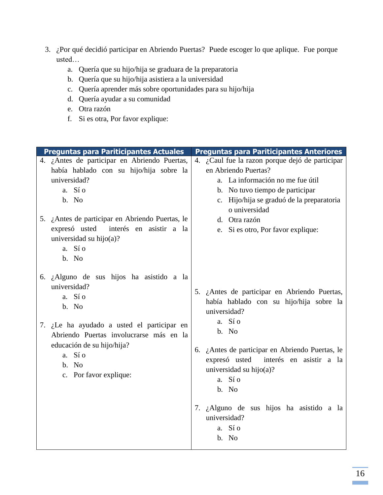- 3. ¿Por qué decidió participar en Abriendo Puertas? Puede escoger lo que aplique. Fue porque usted…
	- a. Quería que su hijo/hija se graduara de la preparatoria
	- b. Quería que su hijo/hija asistiera a la universidad
	- c. Quería aprender más sobre oportunidades para su hijo/hija
	- d. Quería ayudar a su comunidad
	- e. Otra razón
	- f. Si es otra, Por favor explique:

| <b>Preguntas para Pariticipantes Actuales</b>                                                                                                                                  | <b>Preguntas para Pariticipantes Anteriores</b>                                                                                                                                                                               |  |
|--------------------------------------------------------------------------------------------------------------------------------------------------------------------------------|-------------------------------------------------------------------------------------------------------------------------------------------------------------------------------------------------------------------------------|--|
| 4. ¿Antes de participar en Abriendo Puertas,<br>había hablado con su hijo/hija sobre la<br>universidad?<br>a. Sí o<br>b. No<br>5. ¿Antes de participar en Abriendo Puertas, le | 4. ¿Caul fue la razon porque dejó de participar<br>en Abriendo Puertas?<br>a. La información no me fue útil<br>b. No tuvo tiempo de participar<br>c. Hijo/hija se graduó de la preparatoria<br>o universidad<br>d. Otra razón |  |
| expresó usted interés en asistir a la<br>universidad su hijo $(a)$ ?<br>a. Sí o<br>b. No                                                                                       | e. Si es otro, Por favor explique:                                                                                                                                                                                            |  |
| 6. ¿Alguno de sus hijos ha asistido a la<br>universidad?<br>a. Sí o<br>b. No                                                                                                   | 5. ¿Antes de participar en Abriendo Puertas,<br>había hablado con su hijo/hija sobre la<br>universidad?<br>a. Sí o                                                                                                            |  |
| 7. ¿Le ha ayudado a usted el participar en<br>Abriendo Puertas involucrarse más en la<br>educación de su hijo/hija?<br>a. Sí o<br>b. No<br>c. Por favor explique:              | b. No<br>6. ¿Antes de participar en Abriendo Puertas, le<br>expresó usted interés en asistir a la<br>universidad su hijo $(a)$ ?<br>a. Sí o<br>b. No                                                                          |  |
|                                                                                                                                                                                | 7. ¿Alguno de sus hijos ha asistido a la<br>universidad?<br>a. Sí o<br>b. No                                                                                                                                                  |  |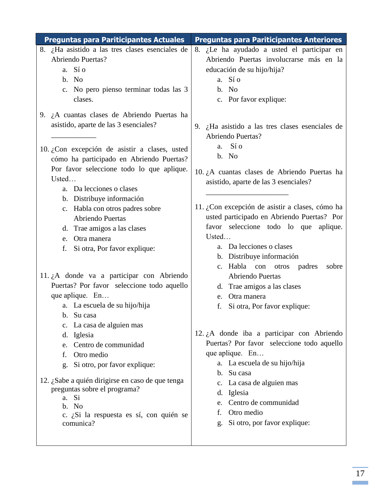| <b>Preguntas para Pariticipantes Actuales</b>                                                                                                                                                                                                                                                                                                                                                                                                                              | <b>Preguntas para Pariticipantes Anteriores</b>                                                                                                                                                                                                                                                                                                                                                                                                          |
|----------------------------------------------------------------------------------------------------------------------------------------------------------------------------------------------------------------------------------------------------------------------------------------------------------------------------------------------------------------------------------------------------------------------------------------------------------------------------|----------------------------------------------------------------------------------------------------------------------------------------------------------------------------------------------------------------------------------------------------------------------------------------------------------------------------------------------------------------------------------------------------------------------------------------------------------|
| 8. ¿Ha asistido a las tres clases esenciales de<br>Abriendo Puertas?<br>a. Sí o<br>b. No<br>c. No pero pienso terminar todas las 3<br>clases.                                                                                                                                                                                                                                                                                                                              | 8. ¿Le ha ayudado a usted el participar en<br>Abriendo Puertas involucrarse más en la<br>educación de su hijo/hija?<br>a. Sí o<br>b. No<br>c. Por favor explique:                                                                                                                                                                                                                                                                                        |
| 9. $\lambda$ cuantas clases de Abriendo Puertas ha<br>asistido, aparte de las 3 esenciales?<br>10. ¿Con excepción de asistir a clases, usted<br>cómo ha participado en Abriendo Puertas?<br>Por favor seleccione todo lo que aplique.<br>Usted<br>a. Da lecciones o clases<br>b. Distribuye información<br>c. Habla con otros padres sobre<br>Abriendo Puertas<br>d. Trae amigos a las clases<br>e. Otra manera<br>f.<br>Si otra, Por favor explique:                      | 9. $\mu$ Ha asistido a las tres clases esenciales de<br><b>Abriendo Puertas?</b><br>Sí o<br>a.<br>b. No<br>10. ¿A cuantas clases de Abriendo Puertas ha<br>asistido, aparte de las 3 esenciales?<br>11. ¿Con excepción de asistir a clases, cómo ha<br>usted participado en Abriendo Puertas? Por<br>favor seleccione todo lo que<br>aplique.<br>Usted<br>a. Da lecciones o clases<br>b. Distribuye información<br>c. Habla con otros<br>padres<br>sobre |
| 11. $\lambda$ donde va a participar con Abriendo<br>Puertas? Por favor seleccione todo aquello<br>que aplique. En<br>a. La escuela de su hijo/hija<br>Su casa<br>b.<br>La casa de alguien mas<br>c.<br>Iglesia<br>d.<br>Centro de communidad<br>e.<br>Otro medio<br>f.<br>Si otro, por favor explique:<br>g.<br>12. ¿Sabe a quién dirigirse en caso de que tenga<br>preguntas sobre el programa?<br>a. Si<br>b. No<br>c. ¿Si la respuesta es sí, con quién se<br>comunica? | <b>Abriendo Puertas</b><br>d. Trae amigos a las clases<br>Otra manera<br>e.<br>Si otra, Por favor explique:<br>f.<br>12. $i$ A donde iba a participar con Abriendo<br>Puertas? Por favor seleccione todo aquello<br>que aplique. En<br>a. La escuela de su hijo/hija<br>b. Su casa<br>c. La casa de alguien mas<br>d. Iglesia<br>Centro de communidad<br>e.<br>Otro medio<br>f.<br>Si otro, por favor explique:<br>g.                                    |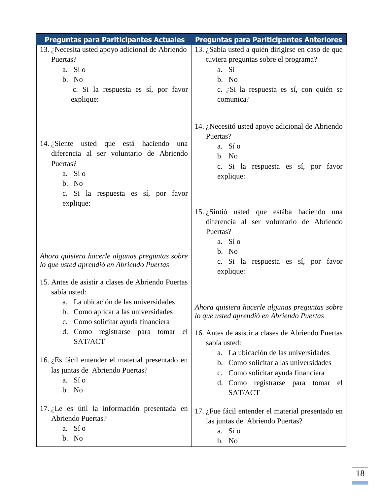| <b>Preguntas para Pariticipantes Actuales</b>                                                                                                                                                                                                                               | <b>Preguntas para Pariticipantes Anteriores</b>                                                                                                                                                                                                                                         |
|-----------------------------------------------------------------------------------------------------------------------------------------------------------------------------------------------------------------------------------------------------------------------------|-----------------------------------------------------------------------------------------------------------------------------------------------------------------------------------------------------------------------------------------------------------------------------------------|
| 13. ¿Necesita usted apoyo adicional de Abriendo<br>Puertas?<br>a. Sí o<br>b. No<br>c. Si la respuesta es sí, por favor<br>explique:                                                                                                                                         | 13. ¿Sabía usted a quién dirigirse en caso de que<br>tuviera preguntas sobre el programa?<br>Si<br>a.<br>b. No<br>c. ¿Si la respuesta es sí, con quién se<br>comunica?                                                                                                                  |
| 14. ¿Siente usted que está haciendo una<br>diferencia al ser voluntario de Abriendo<br>Puertas?<br>a. Sí o<br>b. No<br>c. Si la respuesta es sí, por favor                                                                                                                  | 14. ¿Necesitó usted apoyo adicional de Abriendo<br>Puertas?<br>a. Sí o<br>b. No<br>c. Si la respuesta es sí, por favor<br>explique:                                                                                                                                                     |
| explique:<br>Ahora quisiera hacerle algunas preguntas sobre<br>lo que usted aprendió en Abriendo Puertas<br>15. Antes de asistir a clases de Abriendo Puertas                                                                                                               | 15. ¿Sintió usted que estába haciendo una<br>diferencia al ser voluntario de Abriendo<br>Puertas?<br>a. Sío<br>b. No<br>c. Si la respuesta es sí, por favor<br>explique:                                                                                                                |
| sabía usted:<br>a. La ubicación de las universidades<br>b. Como aplicar a las universidades<br>c. Como solicitar ayuda financiera<br>d. Como registrarse para tomar<br>el<br>SAT/ACT<br>16. ¿Es fácil entender el material presentado en<br>las juntas de Abriendo Puertas? | Ahora quisiera hacerle algunas preguntas sobre<br>lo que usted aprendió en Abriendo Puertas<br>16. Antes de asistir a clases de Abriendo Puertas<br>sabía usted:<br>a. La ubicación de las universidades<br>b. Como solicitar a las universidades<br>c. Como solicitar ayuda financiera |
| a. Sí o<br>b. No<br>17. ¿Le es útil la información presentada en<br>Abriendo Puertas?<br>a. Sí o<br>b. No                                                                                                                                                                   | d. Como registrarse para tomar el<br>SAT/ACT<br>17. ¿Fue fácil entender el material presentado en<br>las juntas de Abriendo Puertas?<br>a. Sí o<br>b. No                                                                                                                                |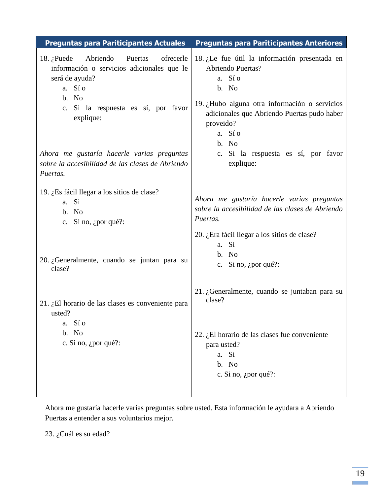| 18. ¿Le fue útil la información presentada en<br><b>Abriendo Puertas?</b><br>a. Sí o<br>b. No<br>19. ¿Hubo alguna otra información o servicios<br>adicionales que Abriendo Puertas pudo haber<br>proveido?<br>a. Sí o<br>b. No<br>c. Si la respuesta es sí, por favor<br>explique: |
|------------------------------------------------------------------------------------------------------------------------------------------------------------------------------------------------------------------------------------------------------------------------------------|
| Ahora me gustaría hacerle varias preguntas<br>sobre la accesibilidad de las clases de Abriendo<br>Puertas.                                                                                                                                                                         |
| 20. ¿Era fácil llegar a los sitios de clase?<br>a. Si<br>b. No<br>c. Si no, $\zeta$ por qué?:                                                                                                                                                                                      |
| 21. ¿Generalmente, cuando se juntaban para su<br>clase?<br>22. ¿El horario de las clases fue conveniente<br>para usted?<br>a. Si<br>b. No<br>c. Si no, ¿por qué?:                                                                                                                  |
|                                                                                                                                                                                                                                                                                    |

Ahora me gustaría hacerle varias preguntas sobre usted. Esta información le ayudara a Abriendo Puertas a entender a sus voluntarios mejor.

23. ¿Cuál es su edad?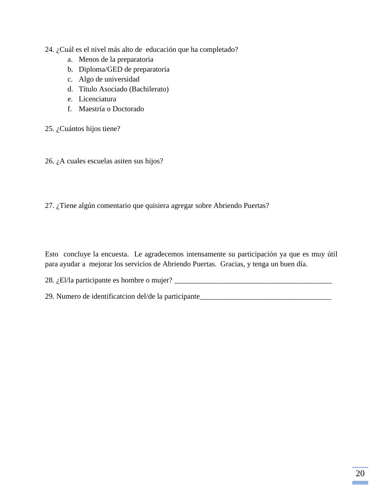#### 24. ¿Cuál es el nivel más alto de educación que ha completado?

- a. Menos de la preparatoria
- b. Diploma/GED de preparatoria
- c. Algo de universidad
- d. Título Asociado (Bachilerato)
- e. Licenciatura
- f. Maestría o Doctorado

#### 25. ¿Cuántos hijos tiene?

26. ¿A cuales escuelas asiten sus hijos?

27. ¿Tiene algún comentario que quisiera agregar sobre Abriendo Puertas?

Esto concluye la encuesta. Le agradecemos intensamente su participación ya que es muy útil para ayudar a mejorar los servicios de Abriendo Puertas. Gracias, y tenga un buen día.

28. ¿El/la participante es hombre o mujer? \_\_\_\_\_\_\_\_\_\_\_\_\_\_\_\_\_\_\_\_\_\_\_\_\_\_\_\_\_\_\_\_\_\_\_\_\_\_\_\_\_\_

29. Numero de identificatcion del/de la participante\_\_\_\_\_\_\_\_\_\_\_\_\_\_\_\_\_\_\_\_\_\_\_\_\_\_\_\_\_\_\_\_\_\_\_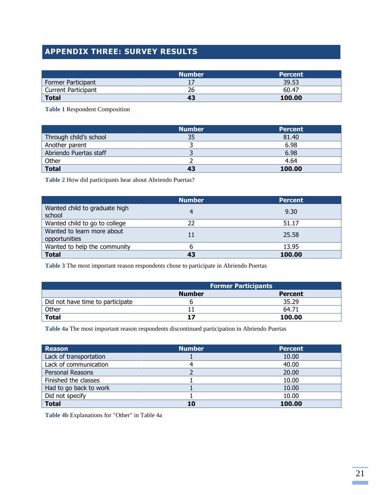# **APPENDIX THREE: SURVEY RESULTS**

|                     | <b>Number</b> | <b>Percent</b> |
|---------------------|---------------|----------------|
| Former Participant  |               | 39.53          |
| Current Participant | 26            | 60.47          |
| <b>Total</b>        | 43            | 100.00         |

**Table 1** Respondent Composition

|                        | <b>Number</b> | <b>Percent</b> |
|------------------------|---------------|----------------|
| Through child's school | 35            | 81.40          |
| Another parent         |               | 6.98           |
| Abriendo Puertas staff |               | 6.98           |
| Other                  |               | 4.64           |
| <b>Total</b>           | 43            | 100.00         |

**Table 2** How did participants hear about Abriendo Puertas?

|                                             | <b>Number</b> | <b>Percent</b> |
|---------------------------------------------|---------------|----------------|
| Wanted child to graduate high<br>school     |               | 9.30           |
| Wanted child to go to college               | 22            | 51.17          |
| Wanted to learn more about<br>opportunities | 11            | 25.58          |
| Wanted to help the community                |               | 13.95          |
| <b>Total</b>                                | 43            | 100.00         |

**Table 3** The most important reason respondents chose to participate in Abriendo Puertas

|                                  | <b>Former Participants</b>      |        |  |  |
|----------------------------------|---------------------------------|--------|--|--|
|                                  | <b>Number</b><br><b>Percent</b> |        |  |  |
| Did not have time to participate |                                 | 35.29  |  |  |
| Other                            |                                 | 64.71  |  |  |
| <b>Total</b>                     |                                 | 100.00 |  |  |

**Table 4a** The most important reason respondents discontinued participation in Abriendo Puertas

| <b>Reason</b>          | <b>Number</b> | <b>Percent</b> |
|------------------------|---------------|----------------|
| Lack of transportation |               | 10.00          |
| Lack of communication  |               | 40.00          |
| Personal Reasons       |               | 20.00          |
| Finished the classes   |               | 10.00          |
| Had to go back to work |               | 10.00          |
| Did not specify        |               | 10.00          |
| <b>Total</b>           | 10            | 100.00         |

**Table 4b** Explanations for "Other" in Table 4a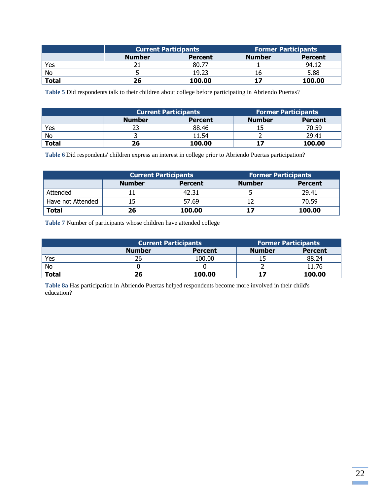|              | <b>Current Participants</b>     |        | <b>Former Participants</b> |                |
|--------------|---------------------------------|--------|----------------------------|----------------|
|              | <b>Number</b><br><b>Percent</b> |        | <b>Number</b>              | <b>Percent</b> |
| Yes          |                                 | 80.77  |                            | 94.12          |
| No           |                                 | 19.23  |                            | 5.88           |
| <b>Total</b> | 26                              | 100.00 |                            | 100.00         |

**Table 5** Did respondents talk to their children about college before participating in Abriendo Puertas?

|              | <b>Current Participants</b>     |        | <b>Former Participants</b> |                |
|--------------|---------------------------------|--------|----------------------------|----------------|
|              | <b>Number</b><br><b>Percent</b> |        | Number                     | <b>Percent</b> |
| Yes          |                                 | 88.46  |                            | 70.59          |
| No           |                                 | 11.54  |                            | 29.41          |
| <b>Total</b> | 26                              | 100.00 |                            | 100.00         |

**Table 6** Did respondents' children express an interest in college prior to Abriendo Puertas participation?

|                   | <b>Current Participants</b> |                | <b>Former Participants</b> |                |
|-------------------|-----------------------------|----------------|----------------------------|----------------|
|                   | <b>Number</b>               | <b>Percent</b> | <b>Number</b>              | <b>Percent</b> |
| Attended          |                             | 42.31          |                            | 29.41          |
| Have not Attended | 15                          | 57.69          |                            | 70.59          |
| <b>Total</b>      | 26                          | 100.00         | 17                         | 100.00         |

**Table 7** Number of participants whose children have attended college

|              | <b>Current Participants</b>     |        | <b>Former Participants</b> |                |
|--------------|---------------------------------|--------|----------------------------|----------------|
|              | <b>Number</b><br><b>Percent</b> |        | <b>Number</b>              | <b>Percent</b> |
| Yes          |                                 | 100.00 |                            | 88.24          |
| <b>No</b>    |                                 |        |                            | 11.76          |
| <b>Total</b> | 26                              | 100.00 |                            | 100.00         |

**Table 8a** Has participation in Abriendo Puertas helped respondents become more involved in their child's education?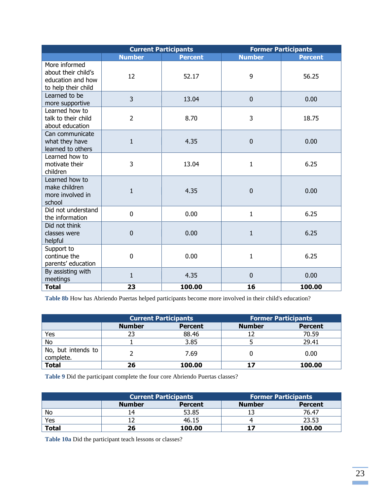|                                                                                  |                | <b>Current Participants</b> |               | <b>Former Participants</b> |
|----------------------------------------------------------------------------------|----------------|-----------------------------|---------------|----------------------------|
|                                                                                  | <b>Number</b>  | <b>Percent</b>              | <b>Number</b> | <b>Percent</b>             |
| More informed<br>about their child's<br>education and how<br>to help their child | 12             | 52.17                       | 9             | 56.25                      |
| Learned to be<br>more supportive                                                 | $\overline{3}$ | 13.04                       | $\pmb{0}$     | 0.00                       |
| Learned how to<br>talk to their child<br>about education                         | $\overline{2}$ | 8.70                        | 3             | 18.75                      |
| Can communicate<br>what they have<br>learned to others                           | $\mathbf{1}$   | 4.35                        | $\mathbf 0$   | 0.00                       |
| Learned how to<br>motivate their<br>children                                     | 3              | 13.04                       | $\mathbf{1}$  | 6.25                       |
| Learned how to<br>make children<br>more involved in<br>school                    | $\overline{1}$ | 4.35                        | $\mathbf 0$   | 0.00                       |
| Did not understand<br>the information                                            | $\mathbf 0$    | 0.00                        | 1             | 6.25                       |
| Did not think<br>classes were<br>helpful                                         | $\mathbf 0$    | 0.00                        | $\mathbf{1}$  | 6.25                       |
| Support to<br>continue the<br>parents' education                                 | $\mathbf 0$    | 0.00                        | $\mathbf{1}$  | 6.25                       |
| By assisting with<br>meetings                                                    | $\mathbf 1$    | 4.35                        | $\mathbf 0$   | 0.00                       |
| <b>Total</b>                                                                     | 23             | 100.00                      | 16            | 100.00                     |

**Table 8b** How has Abriendo Puertas helped participants become more involved in their child's education?

|                                 | <b>Current Participants</b> |                |               | <b>Former Participants</b> |
|---------------------------------|-----------------------------|----------------|---------------|----------------------------|
|                                 | <b>Number</b>               | <b>Percent</b> | <b>Number</b> | <b>Percent</b>             |
| Yes                             | 23                          | 88.46          |               | 70.59                      |
| No                              |                             | 3.85           |               | 29.41                      |
| No, but intends to<br>complete. |                             | 7.69           |               | 0.00                       |
| <b>Total</b>                    | 26                          | 100.00         | 17            | 100.00                     |

**Table 9** Did the participant complete the four core Abriendo Puertas classes?

|              |               | <b>Current Participants</b> |               | <b>Former Participants</b> |
|--------------|---------------|-----------------------------|---------------|----------------------------|
|              | <b>Number</b> | <b>Percent</b>              | <b>Number</b> | <b>Percent</b>             |
| No           | , 4           | 53.85                       |               | 76.47                      |
| Yes          |               | 46.15                       |               | 23.53                      |
| <b>Total</b> | 26            | 100.00                      | 17            | 100.00                     |

**Table 10a** Did the participant teach lessons or classes?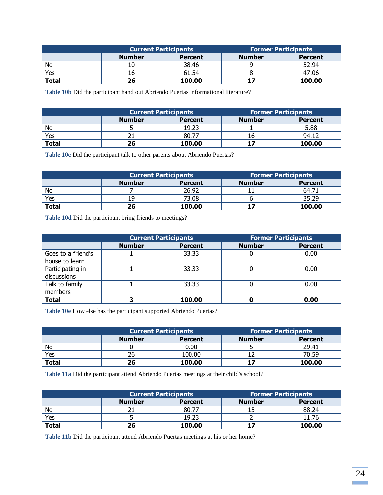|              | <b>Current Participants</b> |                | <b>Former Participants</b> |                |
|--------------|-----------------------------|----------------|----------------------------|----------------|
|              | <b>Number</b>               | <b>Percent</b> | <b>Number</b>              | <b>Percent</b> |
| No           | 10                          | 38.46          |                            | 52.94          |
| Yes          | 16                          | 61.54          |                            | 47.06          |
| <b>Total</b> | 26                          | 100.00         | 17                         | 100.00         |

**Table 10b** Did the participant hand out Abriendo Puertas informational literature?

|              | <b>Current Participants</b> |                | <b>Former Participants</b> |                |
|--------------|-----------------------------|----------------|----------------------------|----------------|
|              | <b>Number</b>               | <b>Percent</b> | <b>Number</b>              | <b>Percent</b> |
| No           |                             | 19.23          |                            | 5.88           |
| Yes          |                             | 80.77          |                            | 94.12          |
| <b>Total</b> | 26                          | 100.00         |                            | 100.00         |

**Table 10c** Did the participant talk to other parents about Abriendo Puertas?

|              | <b>Current Participants</b> |         | <b>Former Participants</b> |                |
|--------------|-----------------------------|---------|----------------------------|----------------|
|              | <b>Number</b>               | Percent | <b>Number</b>              | <b>Percent</b> |
| No           |                             | 26.92   |                            | 64.71          |
| Yes          | 19                          | 73.08   |                            | 35.29          |
| <b>Total</b> | 26                          | 100.00  | 17                         | 100.00         |

**Table 10d** Did the participant bring friends to meetings?

|                    | <b>Current Participants</b> |                | <b>Former Participants</b> |                |
|--------------------|-----------------------------|----------------|----------------------------|----------------|
|                    | <b>Number</b>               | <b>Percent</b> | <b>Number</b>              | <b>Percent</b> |
| Goes to a friend's |                             | 33.33          | U                          | 0.00           |
| house to learn     |                             |                |                            |                |
| Participating in   |                             | 33.33          |                            | 0.00           |
| discussions        |                             |                |                            |                |
| Talk to family     |                             | 33.33          |                            | 0.00           |
| members            |                             |                |                            |                |
| <b>Total</b>       |                             | 100.00         |                            | 0.00           |

**Table 10e** How else has the participant supported Abriendo Puertas?

|              | <b>Current Participants</b> |                | <b>Former Participants</b> |                |
|--------------|-----------------------------|----------------|----------------------------|----------------|
|              | <b>Number</b>               | <b>Percent</b> | <b>Number</b>              | <b>Percent</b> |
| No           |                             | 0.00           |                            | 29.41          |
| Yes          | 26                          | 100.00         |                            | 70.59          |
| <b>Total</b> | 26                          | 100.00         |                            | 100.00         |

**Table 11a** Did the participant attend Abriendo Puertas meetings at their child's school?

|              | <b>Current Participants</b> |                | <b>Former Participants</b> |                |
|--------------|-----------------------------|----------------|----------------------------|----------------|
|              | <b>Number</b>               | <b>Percent</b> | <b>Number</b>              | <b>Percent</b> |
| No           |                             | 80.77          |                            | 88.24          |
| Yes          |                             | 19.23          |                            | 11.76          |
| <b>Total</b> | 26                          | 100.00         | 17                         | 100.00         |

**Table 11b** Did the participant attend Abriendo Puertas meetings at his or her home?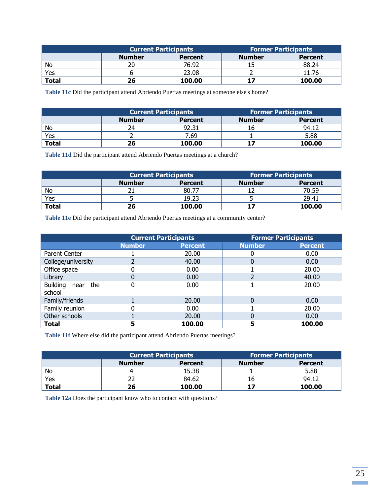|              | <b>Current Participants</b> |                | <b>Former Participants</b> |                |
|--------------|-----------------------------|----------------|----------------------------|----------------|
|              | <b>Number</b>               | <b>Percent</b> | <b>Number</b>              | <b>Percent</b> |
| No           |                             | 76.92          |                            | 88.24          |
| Yes          |                             | 23.08          |                            | 11.76          |
| <b>Total</b> | 26                          | 100.00         | 17                         | 100.00         |

**Table 11c** Did the participant attend Abriendo Puertas meetings at someone else's home?

|              | <b>Current Participants</b> |         | <b>Former Participants</b> |                |
|--------------|-----------------------------|---------|----------------------------|----------------|
|              | <b>Number</b>               | Percent | <b>Number</b>              | <b>Percent</b> |
| No           | 24                          | 92.31   | 16                         | 94.12          |
| Yes          |                             | 7.69    |                            | 5.88           |
| <b>Total</b> | 26                          | 100.00  |                            | 100.00         |

**Table 11d** Did the participant attend Abriendo Puertas meetings at a church?

|              | <b>Current Participants</b> |                | <b>Former Participants</b> |                |
|--------------|-----------------------------|----------------|----------------------------|----------------|
|              | <b>Number</b>               | <b>Percent</b> | <b>Number</b>              | <b>Percent</b> |
| No           |                             | 80.77          |                            | 70.59          |
| Yes          |                             | 19.23          |                            | 29.41          |
| <b>Total</b> | 26                          | 100.00         |                            | 100.00         |

**Table 11e** Did the participant attend Abriendo Puertas meetings at a community center?

|                                | <b>Current Participants</b> |                |               | <b>Former Participants</b> |
|--------------------------------|-----------------------------|----------------|---------------|----------------------------|
|                                | <b>Number</b>               | <b>Percent</b> | <b>Number</b> | <b>Percent</b>             |
| Parent Center                  |                             | 20.00          | 0             | 0.00                       |
| College/university             |                             | 40.00          |               | 0.00                       |
| Office space                   |                             | 0.00           |               | 20.00                      |
| Library                        |                             | 0.00           | า             | 40.00                      |
| <b>Building</b><br>the<br>near |                             | 0.00           |               | 20.00                      |
| school                         |                             |                |               |                            |
| Family/friends                 |                             | 20.00          |               | 0.00                       |
| Family reunion                 |                             | 0.00           |               | 20.00                      |
| Other schools                  |                             | 20.00          |               | 0.00                       |
| <b>Total</b>                   | 5                           | 100.00         | 5             | 100.00                     |

**Table 11f** Where else did the participant attend Abriendo Puertas meetings?

|              | <b>Current Participants</b> |                | <b>Former Participants</b> |                |
|--------------|-----------------------------|----------------|----------------------------|----------------|
|              | <b>Number</b>               | <b>Percent</b> | <b>Number</b>              | <b>Percent</b> |
| No           |                             | 15.38          |                            | 5.88           |
| Yes          |                             | 84.62          |                            | 94.12          |
| <b>Total</b> | 26                          | 100.00         | 17                         | 100.00         |

**Table 12a** Does the participant know who to contact with questions?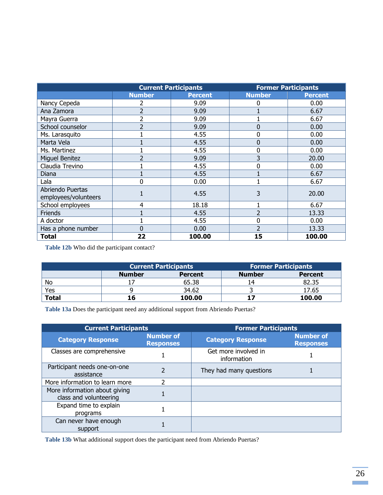|                                          |                          | <b>Current Participants</b> |                | <b>Former Participants</b> |
|------------------------------------------|--------------------------|-----------------------------|----------------|----------------------------|
|                                          | <b>Number</b>            | <b>Percent</b>              | <b>Number</b>  | <b>Percent</b>             |
| Nancy Cepeda                             |                          | 9.09                        | 0              | 0.00                       |
| Ana Zamora                               | $\overline{\phantom{a}}$ | 9.09                        |                | 6.67                       |
| Mayra Guerra                             |                          | 9.09                        |                | 6.67                       |
| School counselor                         | ว                        | 9.09                        | 0              | 0.00                       |
| Ms. Larasquito                           |                          | 4.55                        | 0              | 0.00                       |
| Marta Vela                               |                          | 4.55                        | 0              | 0.00                       |
| Ms. Martinez                             |                          | 4.55                        | 0              | 0.00                       |
| <b>Miguel Benitez</b>                    |                          | 9.09                        | 3              | 20.00                      |
| Claudia Trevino                          |                          | 4.55                        | 0              | 0.00                       |
| Diana                                    |                          | 4.55                        |                | 6.67                       |
| Lala                                     |                          | 0.00                        |                | 6.67                       |
| Abriendo Puertas<br>employees/volunteers |                          | 4.55                        | 3              | 20.00                      |
| School employees                         | 4                        | 18.18                       |                | 6.67                       |
| Friends                                  |                          | 4.55                        | $\overline{2}$ | 13.33                      |
| A doctor                                 |                          | 4.55                        | 0              | 0.00                       |
| Has a phone number                       | 0                        | 0.00                        | $\overline{2}$ | 13.33                      |
| <b>Total</b>                             | 22                       | 100.00                      | 15             | 100.00                     |

**Table 12b** Who did the participant contact?

|              | <b>Current Participants</b> |                | <b>Former Participants</b> |                |
|--------------|-----------------------------|----------------|----------------------------|----------------|
|              | <b>Number</b>               | <b>Percent</b> | <b>Number</b>              | <b>Percent</b> |
| No           |                             | 65.38          |                            | 82.35          |
| Yes          |                             | 34.62          |                            | 17.65          |
| <b>Total</b> |                             | 100.00         |                            | 100.00         |

**Table 13a** Does the participant need any additional support from Abriendo Puertas?

| <b>Current Participants</b>                             |                                      | <b>Former Participants</b>          |                               |  |
|---------------------------------------------------------|--------------------------------------|-------------------------------------|-------------------------------|--|
| <b>Category Response</b>                                | <b>Number of</b><br><b>Responses</b> | <b>Category Response</b>            | Number of<br><b>Responses</b> |  |
| Classes are comprehensive                               |                                      | Get more involved in<br>information |                               |  |
| Participant needs one-on-one<br>assistance              | $\overline{\mathcal{L}}$             | They had many questions             |                               |  |
| More information to learn more                          | 2                                    |                                     |                               |  |
| More information about giving<br>class and volunteering |                                      |                                     |                               |  |
| Expand time to explain<br>programs                      |                                      |                                     |                               |  |
| Can never have enough<br>support                        |                                      |                                     |                               |  |

**Table 13b** What additional support does the participant need from Abriendo Puertas?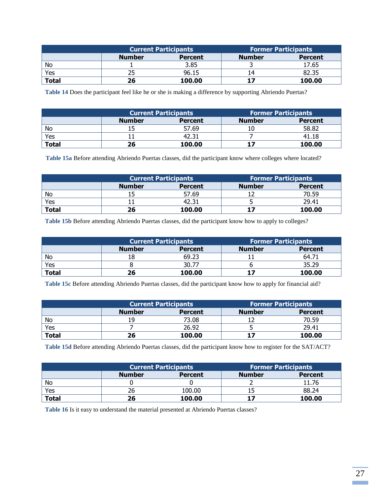|              | <b>Current Participants</b> |                | <b>Former Participants</b> |                |
|--------------|-----------------------------|----------------|----------------------------|----------------|
|              | <b>Number</b>               | <b>Percent</b> | <b>Number</b>              | <b>Percent</b> |
| No           |                             | 3.85           |                            | 17.65          |
| Yes          |                             | 96.15          |                            | 82.35          |
| <b>Total</b> | 26                          | 100.00         | 17                         | 100.00         |

**Table 14** Does the participant feel like he or she is making a difference by supporting Abriendo Puertas?

|              | Current Participants |                | <b>Former Participants</b> |                |
|--------------|----------------------|----------------|----------------------------|----------------|
|              | <b>Number</b>        | <b>Percent</b> | <b>Number</b>              | <b>Percent</b> |
| No           |                      | 57.69          | 10                         | 58.82          |
| Yes          |                      | 42.31          |                            | 41.18          |
| <b>Total</b> | 26                   | 100.00         |                            | 100.00         |

**Table 15a** Before attending Abriendo Puertas classes, did the participant know where colleges where located?

|              | <b>Current Participants</b> |                | <b>Former Participants</b> |                |
|--------------|-----------------------------|----------------|----------------------------|----------------|
|              | <b>Number</b>               | <b>Percent</b> | <b>Number</b>              | <b>Percent</b> |
| No           |                             | 57.69          |                            | 70.59          |
| Yes          |                             | 42.31          |                            | 29.41          |
| <b>Total</b> | 26                          | 100.00         |                            | 100.00         |

**Table 15b** Before attending Abriendo Puertas classes, did the participant know how to apply to colleges?

|              | <b>Current Participants</b> |                | <b>Former Participants</b> |                |
|--------------|-----------------------------|----------------|----------------------------|----------------|
|              | <b>Number</b>               | <b>Percent</b> | <b>Number</b>              | <b>Percent</b> |
| No           | 18                          | 69.23          |                            | $64.7^*$       |
| Yes          |                             | 30.77          |                            | 35.29          |
| <b>Total</b> | 26                          | 100.00         |                            | 100.00         |

**Table 15c** Before attending Abriendo Puertas classes, did the participant know how to apply for financial aid?

|              | <b>Current Participants</b> |                | <b>Former Participants</b> |                |
|--------------|-----------------------------|----------------|----------------------------|----------------|
|              | <b>Number</b>               | <b>Percent</b> | <b>Number</b>              | <b>Percent</b> |
| No           | 19                          | 73.08          |                            | 70.59          |
| Yes          |                             | 26.92          |                            | 29.41          |
| <b>Total</b> | 26                          | 100.00         |                            | 100.00         |

**Table 15d** Before attending Abriendo Puertas classes, did the participant know how to register for the SAT/ACT?

|              |               | <b>Current Participants</b> | <b>Former Participants</b> |                |
|--------------|---------------|-----------------------------|----------------------------|----------------|
|              | <b>Number</b> | <b>Percent</b>              | <b>Number</b>              | <b>Percent</b> |
| No           |               |                             |                            | 11.76          |
| Yes          |               | 100.00                      |                            | 88.24          |
| <b>Total</b> | 26            | 100.00                      |                            | 100.00         |

**Table 16** Is it easy to understand the material presented at Abriendo Puertas classes?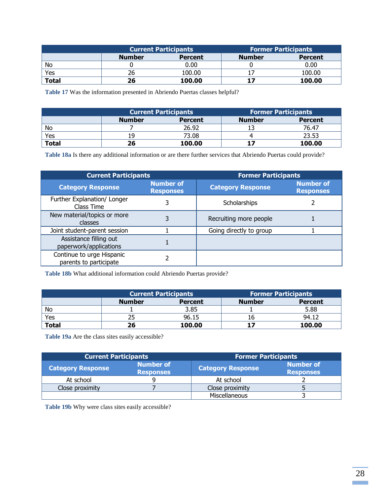|              | <b>Current Participants</b> |                | <b>Former Participants</b> |                |
|--------------|-----------------------------|----------------|----------------------------|----------------|
|              | <b>Number</b>               | <b>Percent</b> | <b>Number</b>              | <b>Percent</b> |
| No           |                             | 0.00           |                            | 0.00           |
| Yes          |                             | 100.00         |                            | 100.00         |
| <b>Total</b> | 26                          | 100.00         | 17                         | 100.00         |

**Table 17** Was the information presented in Abriendo Puertas classes helpful?

|              | <b>Current Participants</b> |                | <b>Former Participants</b> |                |
|--------------|-----------------------------|----------------|----------------------------|----------------|
|              | <b>Number</b>               | <b>Percent</b> | <b>Number</b>              | <b>Percent</b> |
| No           |                             | 26.92          |                            | 76.47          |
| Yes          | 19                          | 73.08          |                            | 23.53          |
| <b>Total</b> | 26                          | 100.00         |                            | 100.00         |

**Table 18a** Is there any additional information or are there further services that Abriendo Puertas could provide?

| <b>Current Participants</b>                         |                                      | <b>Former Participants</b> |                                      |  |
|-----------------------------------------------------|--------------------------------------|----------------------------|--------------------------------------|--|
| <b>Category Response</b>                            | <b>Number of</b><br><b>Responses</b> | <b>Category Response</b>   | <b>Number of</b><br><b>Responses</b> |  |
| Further Explanation/ Longer<br>Class Time           | 3                                    | Scholarships               |                                      |  |
| New material/topics or more<br>classes              | 3                                    | Recruiting more people     |                                      |  |
| Joint student-parent session                        |                                      | Going directly to group    |                                      |  |
| Assistance filling out<br>paperwork/applications    |                                      |                            |                                      |  |
| Continue to urge Hispanic<br>parents to participate |                                      |                            |                                      |  |

**Table 18b** What additional information could Abriendo Puertas provide?

|              | <b>Current Participants</b> |                | <b>Former Participants</b> |                |
|--------------|-----------------------------|----------------|----------------------------|----------------|
|              | <b>Number</b>               | <b>Percent</b> | <b>Number</b>              | <b>Percent</b> |
| No           |                             | 3.85           |                            | 5.88           |
| Yes          |                             | 96.15          |                            | 94.12          |
| <b>Total</b> | 26                          | 100.00         | 17                         | 100.00         |

**Table 19a** Are the class sites easily accessible?

| <b>Current Participants</b> |                                      | <b>Former Participants</b> |                                      |
|-----------------------------|--------------------------------------|----------------------------|--------------------------------------|
| <b>Category Response</b>    | <b>Number of</b><br><b>Responses</b> | <b>Category Response</b>   | <b>Number of</b><br><b>Responses</b> |
| At school                   |                                      | At school                  |                                      |
| Close proximity             |                                      | Close proximity            |                                      |
|                             |                                      | Miscellaneous              |                                      |

**Table 19b** Why were class sites easily accessible?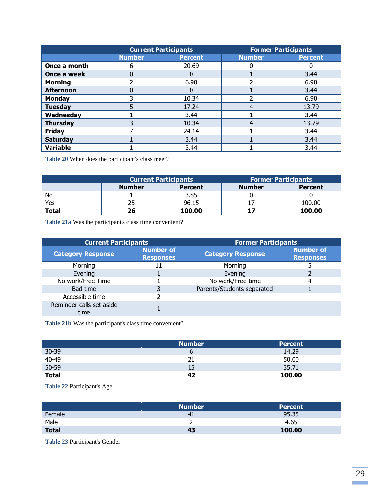|                  |               | <b>Current Participants</b> |               | <b>Former Participants</b> |
|------------------|---------------|-----------------------------|---------------|----------------------------|
|                  | <b>Number</b> | <b>Percent</b>              | <b>Number</b> | <b>Percent</b>             |
| Once a month     | 6             | 20.69                       |               |                            |
| Once a week      | 0             |                             |               | 3.44                       |
| <b>Morning</b>   |               | 6.90                        |               | 6.90                       |
| <b>Afternoon</b> | 0             |                             |               | 3.44                       |
| <b>Monday</b>    |               | 10.34                       |               | 6.90                       |
| <b>Tuesday</b>   | 5             | 17.24                       |               | 13.79                      |
| Wednesday        |               | 3.44                        |               | 3.44                       |
| <b>Thursday</b>  | 3             | 10.34                       |               | 13.79                      |
| <b>Friday</b>    |               | 24.14                       |               | 3.44                       |
| <b>Saturday</b>  |               | 3.44                        |               | 3.44                       |
| <b>Variable</b>  |               | 3.44                        |               | 3.44                       |

**Table 20** When does the participant's class meet?

|                           | <b>Current Participants</b> |                | <b>Former Participants</b> |                |
|---------------------------|-----------------------------|----------------|----------------------------|----------------|
|                           | <b>Number</b>               | <b>Percent</b> | <b>Number</b>              | <b>Percent</b> |
| No                        |                             | 3.85           |                            |                |
| Yes                       |                             | 96.15          |                            | 100.00         |
| $\overline{\text{Total}}$ | 26                          | 100.00         |                            | 100.00         |

**Table 21a** Was the participant's class time convenient?

| <b>Current Participants</b>      |                                      | <b>Former Participants</b> |                                      |  |
|----------------------------------|--------------------------------------|----------------------------|--------------------------------------|--|
| <b>Category Response</b>         | <b>Number of</b><br><b>Responses</b> | <b>Category Response</b>   | <b>Number of</b><br><b>Responses</b> |  |
| Morning                          |                                      | Morning                    |                                      |  |
| Evening                          |                                      | Evening                    |                                      |  |
| No work/Free Time                |                                      | No work/Free time          |                                      |  |
| Bad time                         |                                      | Parents/Students separated |                                      |  |
| Accessible time                  |                                      |                            |                                      |  |
| Reminder calls set aside<br>time |                                      |                            |                                      |  |

**Table 21b** Was the participant's class time convenient?

|                                | <b>Number</b> | <b>Percent</b> |
|--------------------------------|---------------|----------------|
| $30-39$                        |               | 14.29          |
| $\frac{40-49}{50-59}$<br>Total |               | 50.00          |
|                                | 15            | 35.71          |
|                                | 42            | 100.00         |

**Table 22** Participant's Age

|              | <b>Number</b> | <b>Percent</b> |
|--------------|---------------|----------------|
| Female       |               | 95.35          |
| Male         |               | 4.65           |
| <b>Total</b> | 43            | 100.00         |

**Table 23** Participant's Gender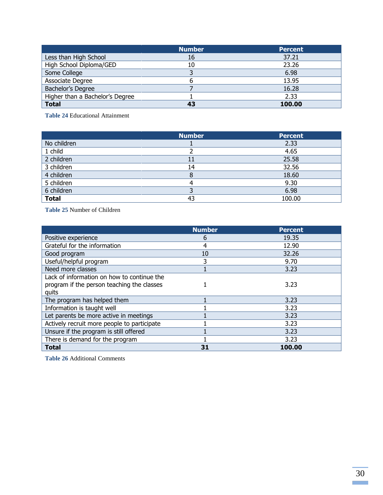|                                 | <b>Number</b> | <b>Percent</b> |
|---------------------------------|---------------|----------------|
| Less than High School           | 16            | 37.21          |
| High School Diploma/GED         | 10            | 23.26          |
| Some College                    |               | 6.98           |
| Associate Degree                |               | 13.95          |
| Bachelor's Degree               |               | 16.28          |
| Higher than a Bachelor's Degree |               | 2.33           |
| <b>Total</b>                    | 43            | 100.00         |

**Table 24** Educational Attainment

|              | <b>Number</b> | <b>Percent</b> |
|--------------|---------------|----------------|
| No children  |               | 2.33           |
| 1 child      |               | 4.65           |
| 2 children   | 11            | 25.58          |
| 3 children   | 14            | 32.56          |
| 4 children   |               | 18.60          |
| 5 children   |               | 9.30           |
| 6 children   |               | 6.98           |
| <b>Total</b> | 43            | 100.00         |

**Table 25** Number of Children

|                                             | <b>Number</b> | <b>Percent</b> |
|---------------------------------------------|---------------|----------------|
| Positive experience                         | 6             | 19.35          |
| Grateful for the information                | 4             | 12.90          |
| Good program                                | 10            | 32.26          |
| Useful/helpful program                      | 3             | 9.70           |
| Need more classes                           |               | 3.23           |
| Lack of information on how to continue the  |               |                |
| program if the person teaching the classes  |               | 3.23           |
| quits                                       |               |                |
| The program has helped them                 |               | 3.23           |
| Information is taught well                  |               | 3.23           |
| Let parents be more active in meetings      |               | 3.23           |
| Actively recruit more people to participate |               | 3.23           |
| Unsure if the program is still offered      |               | 3.23           |
| There is demand for the program             |               | 3.23           |
| <b>Total</b>                                | 31            | 100.00         |

**Table 26** Additional Comments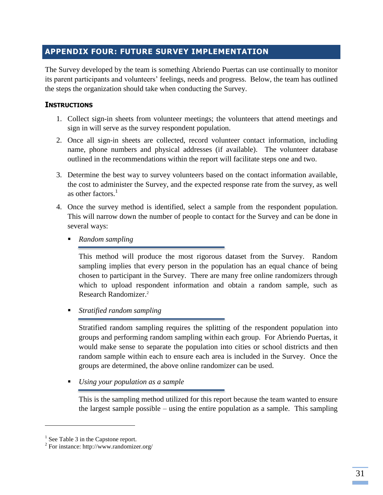# **APPENDIX FOUR: FUTURE SURVEY IMPLEMENTATION**

The Survey developed by the team is something Abriendo Puertas can use continually to monitor its parent participants and volunteers' feelings, needs and progress. Below, the team has outlined the steps the organization should take when conducting the Survey.

#### **INSTRUCTIONS**

- 1. Collect sign-in sheets from volunteer meetings; the volunteers that attend meetings and sign in will serve as the survey respondent population.
- 2. Once all sign-in sheets are collected, record volunteer contact information, including name, phone numbers and physical addresses (if available). The volunteer database outlined in the recommendations within the report will facilitate steps one and two.
- 3. Determine the best way to survey volunteers based on the contact information available, the cost to administer the Survey, and the expected response rate from the survey, as well as other factors. $<sup>1</sup>$ </sup>
- 4. Once the survey method is identified, select a sample from the respondent population. This will narrow down the number of people to contact for the Survey and can be done in several ways:
	- *Random sampling*

This method will produce the most rigorous dataset from the Survey. Random sampling implies that every person in the population has an equal chance of being chosen to participant in the Survey. There are many free online randomizers through which to upload respondent information and obtain a random sample, such as Research Randomizer.<sup>2</sup>

*Stratified random sampling*

Stratified random sampling requires the splitting of the respondent population into groups and performing random sampling within each group. For Abriendo Puertas, it would make sense to separate the population into cities or school districts and then random sample within each to ensure each area is included in the Survey. Once the groups are determined, the above online randomizer can be used.

*Using your population as a sample*

This is the sampling method utilized for this report because the team wanted to ensure the largest sample possible – using the entire population as a sample. This sampling

 $\overline{\phantom{a}}$ 

 $<sup>1</sup>$  See Table 3 in the Capstone report.</sup>

<sup>2</sup> For instance: http://www.randomizer.org/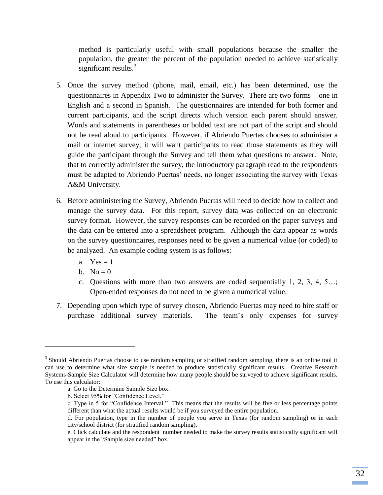method is particularly useful with small populations because the smaller the population, the greater the percent of the population needed to achieve statistically significant results. $3$ 

- 5. Once the survey method (phone, mail, email, etc.) has been determined, use the questionnaires in Appendix Two to administer the Survey. There are two forms – one in English and a second in Spanish. The questionnaires are intended for both former and current participants, and the script directs which version each parent should answer. Words and statements in parentheses or bolded text are not part of the script and should not be read aloud to participants. However, if Abriendo Puertas chooses to administer a mail or internet survey, it will want participants to read those statements as they will guide the participant through the Survey and tell them what questions to answer. Note, that to correctly administer the survey, the introductory paragraph read to the respondents must be adapted to Abriendo Puertas' needs, no longer associating the survey with Texas A&M University.
- 6. Before administering the Survey, Abriendo Puertas will need to decide how to collect and manage the survey data. For this report, survey data was collected on an electronic survey format. However, the survey responses can be recorded on the paper surveys and the data can be entered into a spreadsheet program. Although the data appear as words on the survey questionnaires, responses need to be given a numerical value (or coded) to be analyzed. An example coding system is as follows:
	- a.  $Yes = 1$
	- b. No  $= 0$

l

- c. Questions with more than two answers are coded sequentially 1, 2, 3, 4, 5…; Open-ended responses do not need to be given a numerical value.
- 7. Depending upon which type of survey chosen, Abriendo Puertas may need to hire staff or purchase additional survey materials. The team's only expenses for survey

<sup>&</sup>lt;sup>3</sup> Should Abriendo Puertas choose to use random sampling or stratified random sampling, there is an online tool it can use to determine what size sample is needed to produce statistically significant results. Creative Research Systems-Sample Size Calculator will determine how many people should be surveyed to achieve significant results. To use this calculator:

a. Go to the Determine Sample Size box.

b. Select 95% for "Confidence Level."

c. Type in 5 for "Confidence Interval." This means that the results will be five or less percentage points different than what the actual results would be if you surveyed the entire population.

d. For population, type in the number of people you serve in Texas (for random sampling) or in each city/school district (for stratified random sampling).

e. Click calculate and the respondent number needed to make the survey results statistically significant will appear in the "Sample size needed" box.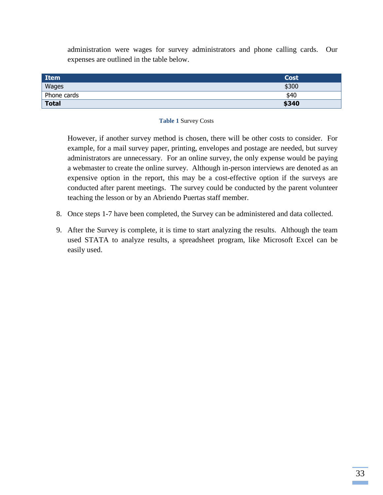administration were wages for survey administrators and phone calling cards. Our expenses are outlined in the table below.

| Item         | Cost  |
|--------------|-------|
| Wages        | \$300 |
| Phone cards  | \$40  |
| <b>Total</b> | \$340 |

#### **Table 1** Survey Costs

However, if another survey method is chosen, there will be other costs to consider. For example, for a mail survey paper, printing, envelopes and postage are needed, but survey administrators are unnecessary. For an online survey, the only expense would be paying a webmaster to create the online survey. Although in-person interviews are denoted as an expensive option in the report, this may be a cost-effective option if the surveys are conducted after parent meetings. The survey could be conducted by the parent volunteer teaching the lesson or by an Abriendo Puertas staff member.

- 8. Once steps 1-7 have been completed, the Survey can be administered and data collected.
- 9. After the Survey is complete, it is time to start analyzing the results. Although the team used STATA to analyze results, a spreadsheet program, like Microsoft Excel can be easily used.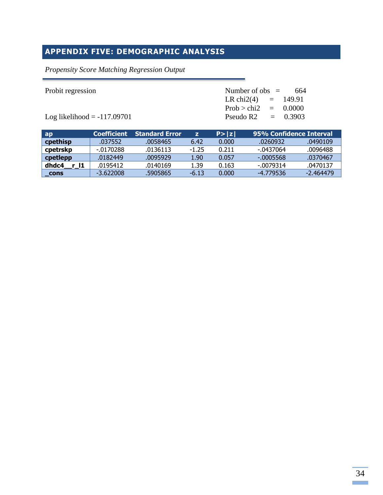# **APPENDIX FIVE: DEMOGRAPHIC ANALYSIS**

# *Propensity Score Matching Regression Output*

| Probit regression             | Number of obs $=$ 664  |  |  |
|-------------------------------|------------------------|--|--|
|                               | LR chi2(4) = $149.91$  |  |  |
|                               | Prob > chi2 = $0.0000$ |  |  |
| Log likelihood $= -117.09701$ | Pseudo R2 $=$ 0.3903   |  |  |

| ap                 | <b>Coefficient</b> | <b>Standard Error</b> |         | P >  z | 95% Confidence Interval |             |
|--------------------|--------------------|-----------------------|---------|--------|-------------------------|-------------|
| cpethisp           | .037552            | .0058465              | 6.42    | 0.000  | .0260932                | .0490109    |
| cpetrskp           | -.0170288          | .0136113              | $-1.25$ | 0.211  | -.0437064               | .0096488    |
| cpetlepp           | .0182449           | .0095929              | 1.90    | 0.057  | -.0005568               | .0370467    |
| dhdc4<br>r 11      | .0195412           | .0140169              | 1.39    | 0.163  | $-.0079314$             | .0470137    |
| $\mathsf{\_}$ cons | $-3.622008$        | .5905865              | $-6.13$ | 0.000  | -4.779536               | $-2.464479$ |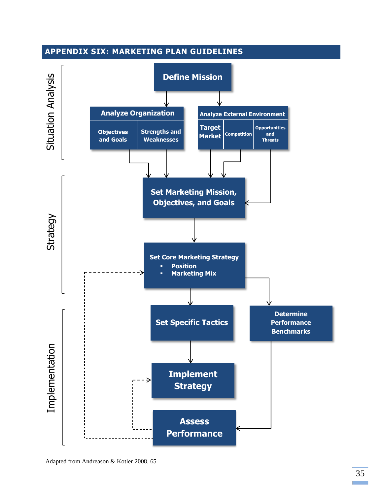

Adapted from Andreason & Kotler 2008, 65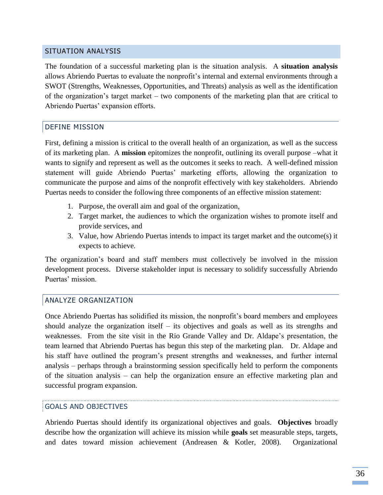#### SITUATION ANALYSIS

The foundation of a successful marketing plan is the situation analysis. A **situation analysis** allows Abriendo Puertas to evaluate the nonprofit's internal and external environments through a SWOT (Strengths, Weaknesses, Opportunities, and Threats) analysis as well as the identification of the organization's target market – two components of the marketing plan that are critical to Abriendo Puertas' expansion efforts.

#### DEFINE MISSION

First, defining a mission is critical to the overall health of an organization, as well as the success of its marketing plan. A **mission** epitomizes the nonprofit, outlining its overall purpose –what it wants to signify and represent as well as the outcomes it seeks to reach. A well-defined mission statement will guide Abriendo Puertas' marketing efforts, allowing the organization to communicate the purpose and aims of the nonprofit effectively with key stakeholders. Abriendo Puertas needs to consider the following three components of an effective mission statement:

- 1. Purpose, the overall aim and goal of the organization,
- 2. Target market, the audiences to which the organization wishes to promote itself and provide services, and
- 3. Value, how Abriendo Puertas intends to impact its target market and the outcome(s) it expects to achieve.

The organization's board and staff members must collectively be involved in the mission development process. Diverse stakeholder input is necessary to solidify successfully Abriendo Puertas' mission.

#### ANALYZE ORGANIZATION

Once Abriendo Puertas has solidified its mission, the nonprofit's board members and employees should analyze the organization itself – its objectives and goals as well as its strengths and weaknesses. From the site visit in the Rio Grande Valley and Dr. Aldape's presentation, the team learned that Abriendo Puertas has begun this step of the marketing plan. Dr. Aldape and his staff have outlined the program's present strengths and weaknesses, and further internal analysis – perhaps through a brainstorming session specifically held to perform the components of the situation analysis – can help the organization ensure an effective marketing plan and successful program expansion.

#### GOALS AND OBJECTIVES

Abriendo Puertas should identify its organizational objectives and goals. **Objectives** broadly describe how the organization will achieve its mission while **goals** set measurable steps, targets, and dates toward mission achievement (Andreasen & Kotler, 2008). Organizational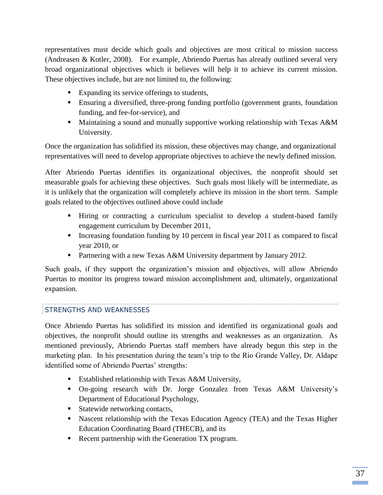representatives must decide which goals and objectives are most critical to mission success (Andreasen & Kotler, 2008). For example, Abriendo Puertas has already outlined several very broad organizational objectives which it believes will help it to achieve its current mission. These objectives include, but are not limited to, the following:

- Expanding its service offerings to students,
- Ensuring a diversified, three-prong funding portfolio (government grants, foundation funding, and fee-for-service), and
- **Maintaining a sound and mutually supportive working relationship with Texas A&M** University.

Once the organization has solidified its mission, these objectives may change, and organizational representatives will need to develop appropriate objectives to achieve the newly defined mission.

After Abriendo Puertas identifies its organizational objectives, the nonprofit should set measurable goals for achieving these objectives. Such goals most likely will be intermediate, as it is unlikely that the organization will completely achieve its mission in the short term. Sample goals related to the objectives outlined above could include

- Hiring or contracting a curriculum specialist to develop a student-based family engagement curriculum by December 2011,
- Increasing foundation funding by 10 percent in fiscal year  $2011$  as compared to fiscal year 2010, or
- **Partnering with a new Texas A&M University department by January 2012.**

Such goals, if they support the organization's mission and objectives, will allow Abriendo Puertas to monitor its progress toward mission accomplishment and, ultimately, organizational expansion.

#### STRENGTHS AND WEAKNESSES

Once Abriendo Puertas has solidified its mission and identified its organizational goals and objectives, the nonprofit should outline its strengths and weaknesses as an organization. As mentioned previously, Abriendo Puertas staff members have already begun this step in the marketing plan. In his presentation during the team's trip to the Rio Grande Valley, Dr. Aldape identified some of Abriendo Puertas' strengths:

- Established relationship with Texas A&M University,
- On-going research with Dr. Jorge Gonzalez from Texas A&M University's Department of Educational Psychology,
- Statewide networking contacts,
- **Nascent relationship with the Texas Education Agency (TEA) and the Texas Higher** Education Coordinating Board (THECB), and its
- Recent partnership with the Generation TX program.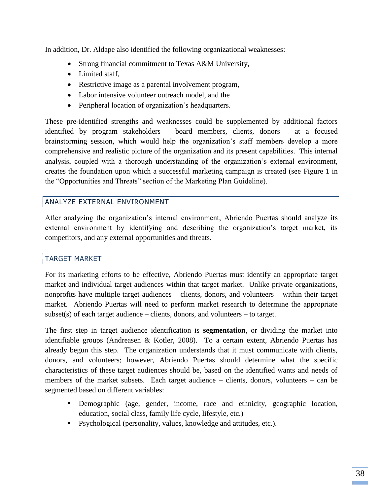In addition, Dr. Aldape also identified the following organizational weaknesses:

- Strong financial commitment to Texas A&M University,
- Limited staff.
- Restrictive image as a parental involvement program,
- Labor intensive volunteer outreach model, and the
- Peripheral location of organization's headquarters.

These pre-identified strengths and weaknesses could be supplemented by additional factors identified by program stakeholders – board members, clients, donors – at a focused brainstorming session, which would help the organization's staff members develop a more comprehensive and realistic picture of the organization and its present capabilities. This internal analysis, coupled with a thorough understanding of the organization's external environment, creates the foundation upon which a successful marketing campaign is created (see Figure 1 in the "Opportunities and Threats" section of the Marketing Plan Guideline).

# ANALYZE EXTERNAL ENVIRONMENT

After analyzing the organization's internal environment, Abriendo Puertas should analyze its external environment by identifying and describing the organization's target market, its competitors, and any external opportunities and threats.

# TARGET MARKET

For its marketing efforts to be effective, Abriendo Puertas must identify an appropriate target market and individual target audiences within that target market. Unlike private organizations, nonprofits have multiple target audiences – clients, donors, and volunteers – within their target market. Abriendo Puertas will need to perform market research to determine the appropriate  $subset(s)$  of each target audience – clients, donors, and volunteers – to target.

The first step in target audience identification is **segmentation**, or dividing the market into identifiable groups (Andreasen & Kotler, 2008). To a certain extent, Abriendo Puertas has already begun this step. The organization understands that it must communicate with clients, donors, and volunteers; however, Abriendo Puertas should determine what the specific characteristics of these target audiences should be, based on the identified wants and needs of members of the market subsets. Each target audience – clients, donors, volunteers – can be segmented based on different variables:

- Demographic (age, gender, income, race and ethnicity, geographic location, education, social class, family life cycle, lifestyle, etc.)
- Psychological (personality, values, knowledge and attitudes, etc.).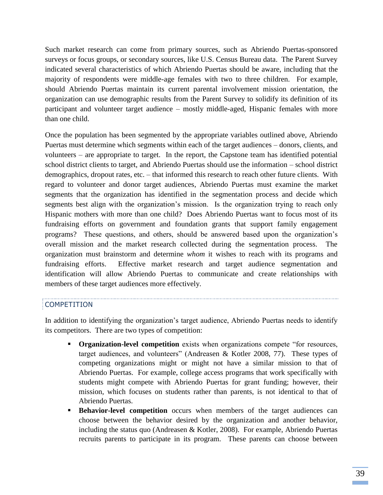Such market research can come from primary sources, such as Abriendo Puertas-sponsored surveys or focus groups, or secondary sources, like U.S. Census Bureau data. The Parent Survey indicated several characteristics of which Abriendo Puertas should be aware, including that the majority of respondents were middle-age females with two to three children. For example, should Abriendo Puertas maintain its current parental involvement mission orientation, the organization can use demographic results from the Parent Survey to solidify its definition of its participant and volunteer target audience – mostly middle-aged, Hispanic females with more than one child.

Once the population has been segmented by the appropriate variables outlined above, Abriendo Puertas must determine which segments within each of the target audiences – donors, clients, and volunteers – are appropriate to target. In the report, the Capstone team has identified potential school district clients to target, and Abriendo Puertas should use the information – school district demographics, dropout rates, etc. – that informed this research to reach other future clients. With regard to volunteer and donor target audiences, Abriendo Puertas must examine the market segments that the organization has identified in the segmentation process and decide which segments best align with the organization's mission. Is the organization trying to reach only Hispanic mothers with more than one child? Does Abriendo Puertas want to focus most of its fundraising efforts on government and foundation grants that support family engagement programs? These questions, and others, should be answered based upon the organization's overall mission and the market research collected during the segmentation process. The organization must brainstorm and determine *whom* it wishes to reach with its programs and fundraising efforts. Effective market research and target audience segmentation and identification will allow Abriendo Puertas to communicate and create relationships with members of these target audiences more effectively.

#### COMPETITION

In addition to identifying the organization's target audience, Abriendo Puertas needs to identify its competitors. There are two types of competition:

- **Creanization-level competition** exists when organizations compete "for resources, target audiences, and volunteers" (Andreasen & Kotler 2008, 77). These types of competing organizations might or might not have a similar mission to that of Abriendo Puertas. For example, college access programs that work specifically with students might compete with Abriendo Puertas for grant funding; however, their mission, which focuses on students rather than parents, is not identical to that of Abriendo Puertas.
- **Behavior-level competition** occurs when members of the target audiences can choose between the behavior desired by the organization and another behavior, including the status quo (Andreasen & Kotler, 2008). For example, Abriendo Puertas recruits parents to participate in its program. These parents can choose between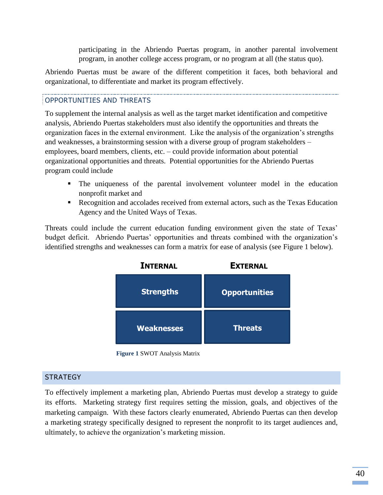participating in the Abriendo Puertas program, in another parental involvement program, in another college access program, or no program at all (the status quo).

Abriendo Puertas must be aware of the different competition it faces, both behavioral and organizational, to differentiate and market its program effectively.

### OPPORTUNITIES AND THREATS

To supplement the internal analysis as well as the target market identification and competitive analysis, Abriendo Puertas stakeholders must also identify the opportunities and threats the organization faces in the external environment. Like the analysis of the organization's strengths and weaknesses, a brainstorming session with a diverse group of program stakeholders – employees, board members, clients, etc. – could provide information about potential organizational opportunities and threats. Potential opportunities for the Abriendo Puertas program could include

- The uniqueness of the parental involvement volunteer model in the education nonprofit market and
- Recognition and accolades received from external actors, such as the Texas Education Agency and the United Ways of Texas.

Threats could include the current education funding environment given the state of Texas' budget deficit. Abriendo Puertas' opportunities and threats combined with the organization's identified strengths and weaknesses can form a matrix for ease of analysis (see Figure 1 below).



**Figure 1** SWOT Analysis Matrix

#### **STRATEGY**

To effectively implement a marketing plan, Abriendo Puertas must develop a strategy to guide its efforts. Marketing strategy first requires setting the mission, goals, and objectives of the marketing campaign. With these factors clearly enumerated, Abriendo Puertas can then develop a marketing strategy specifically designed to represent the nonprofit to its target audiences and, ultimately, to achieve the organization's marketing mission.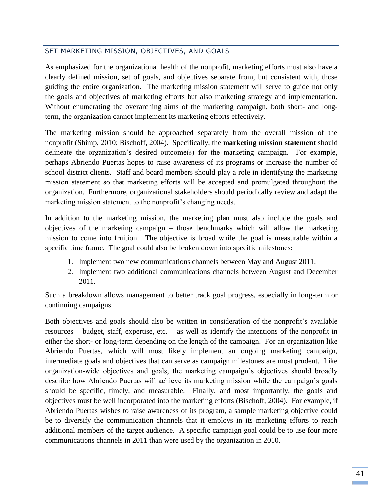# SET MARKETING MISSION, OBJECTIVES, AND GOALS

As emphasized for the organizational health of the nonprofit, marketing efforts must also have a clearly defined mission, set of goals, and objectives separate from, but consistent with, those guiding the entire organization. The marketing mission statement will serve to guide not only the goals and objectives of marketing efforts but also marketing strategy and implementation. Without enumerating the overarching aims of the marketing campaign, both short- and longterm, the organization cannot implement its marketing efforts effectively.

The marketing mission should be approached separately from the overall mission of the nonprofit (Shimp, 2010; Bischoff, 2004). Specifically, the **marketing mission statement** should delineate the organization's desired outcome(s) for the marketing campaign. For example, perhaps Abriendo Puertas hopes to raise awareness of its programs or increase the number of school district clients. Staff and board members should play a role in identifying the marketing mission statement so that marketing efforts will be accepted and promulgated throughout the organization. Furthermore, organizational stakeholders should periodically review and adapt the marketing mission statement to the nonprofit's changing needs.

In addition to the marketing mission, the marketing plan must also include the goals and objectives of the marketing campaign – those benchmarks which will allow the marketing mission to come into fruition. The objective is broad while the goal is measurable within a specific time frame. The goal could also be broken down into specific milestones:

- 1. Implement two new communications channels between May and August 2011.
- 2. Implement two additional communications channels between August and December 2011.

Such a breakdown allows management to better track goal progress, especially in long-term or continuing campaigns.

Both objectives and goals should also be written in consideration of the nonprofit's available resources – budget, staff, expertise, etc. – as well as identify the intentions of the nonprofit in either the short- or long-term depending on the length of the campaign. For an organization like Abriendo Puertas, which will most likely implement an ongoing marketing campaign, intermediate goals and objectives that can serve as campaign milestones are most prudent. Like organization-wide objectives and goals, the marketing campaign's objectives should broadly describe how Abriendo Puertas will achieve its marketing mission while the campaign's goals should be specific, timely, and measurable. Finally, and most importantly, the goals and objectives must be well incorporated into the marketing efforts (Bischoff, 2004). For example, if Abriendo Puertas wishes to raise awareness of its program, a sample marketing objective could be to diversify the communication channels that it employs in its marketing efforts to reach additional members of the target audience. A specific campaign goal could be to use four more communications channels in 2011 than were used by the organization in 2010.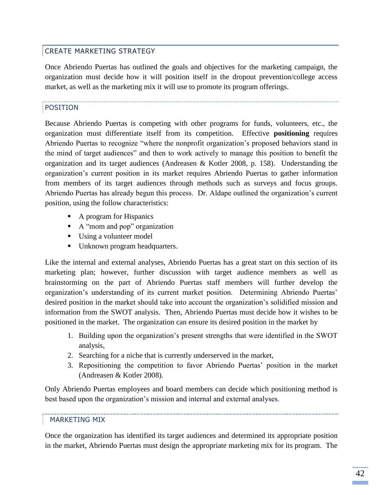### CREATE MARKETING STRATEGY

Once Abriendo Puertas has outlined the goals and objectives for the marketing campaign, the organization must decide how it will position itself in the dropout prevention/college access market, as well as the marketing mix it will use to promote its program offerings.

#### POSITION

Because Abriendo Puertas is competing with other programs for funds, volunteers, etc., the organization must differentiate itself from its competition. Effective **positioning** requires Abriendo Puertas to recognize "where the nonprofit organization's proposed behaviors stand in the mind of target audiences" and then to work actively to manage this position to benefit the organization and its target audiences (Andreasen & Kotler 2008, p. 158). Understanding the organization's current position in its market requires Abriendo Puertas to gather information from members of its target audiences through methods such as surveys and focus groups. Abriendo Puertas has already begun this process. Dr. Aldape outlined the organization's current position, using the follow characteristics:

- A program for Hispanics
- A "mom and pop" organization
- Using a volunteer model
- Unknown program headquarters.

Like the internal and external analyses, Abriendo Puertas has a great start on this section of its marketing plan; however, further discussion with target audience members as well as brainstorming on the part of Abriendo Puertas staff members will further develop the organization's understanding of its current market position. Determining Abriendo Puertas' desired position in the market should take into account the organization's solidified mission and information from the SWOT analysis. Then, Abriendo Puertas must decide how it wishes to be positioned in the market. The organization can ensure its desired position in the market by

- 1. Building upon the organization's present strengths that were identified in the SWOT analysis,
- 2. Searching for a niche that is currently underserved in the market,
- 3. Repositioning the competition to favor Abriendo Puertas' position in the market (Andreasen & Kotler 2008).

Only Abriendo Puertas employees and board members can decide which positioning method is best based upon the organization's mission and internal and external analyses.

#### MARKETING MIX

Once the organization has identified its target audiences and determined its appropriate position in the market, Abriendo Puertas must design the appropriate marketing mix for its program. The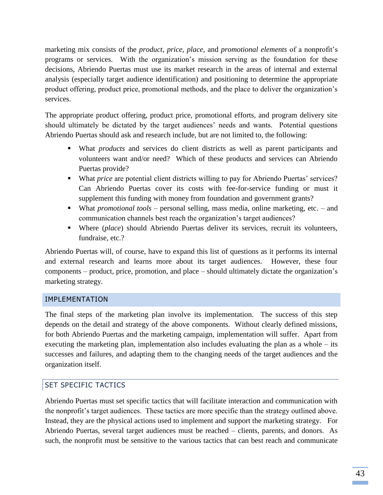marketing mix consists of the *product*, *price*, *place*, and *promotional elements* of a nonprofit's programs or services. With the organization's mission serving as the foundation for these decisions, Abriendo Puertas must use its market research in the areas of internal and external analysis (especially target audience identification) and positioning to determine the appropriate product offering, product price, promotional methods, and the place to deliver the organization's services.

The appropriate product offering, product price, promotional efforts, and program delivery site should ultimately be dictated by the target audiences' needs and wants. Potential questions Abriendo Puertas should ask and research include, but are not limited to, the following:

- What *products* and services do client districts as well as parent participants and volunteers want and/or need? Which of these products and services can Abriendo Puertas provide?
- What *price* are potential client districts willing to pay for Abriendo Puertas' services? Can Abriendo Puertas cover its costs with fee-for-service funding or must it supplement this funding with money from foundation and government grants?
- What *promotional tools* personal selling, mass media, online marketing, etc. and communication channels best reach the organization's target audiences?
- Where (*place*) should Abriendo Puertas deliver its services, recruit its volunteers, fundraise, etc.?

Abriendo Puertas will, of course, have to expand this list of questions as it performs its internal and external research and learns more about its target audiences. However, these four components – product, price, promotion, and place – should ultimately dictate the organization's marketing strategy.

#### IMPLEMENTATION

The final steps of the marketing plan involve its implementation. The success of this step depends on the detail and strategy of the above components. Without clearly defined missions, for both Abriendo Puertas and the marketing campaign, implementation will suffer. Apart from executing the marketing plan, implementation also includes evaluating the plan as a whole – its successes and failures, and adapting them to the changing needs of the target audiences and the organization itself.

# SET SPECIFIC TACTICS

Abriendo Puertas must set specific tactics that will facilitate interaction and communication with the nonprofit's target audiences. These tactics are more specific than the strategy outlined above. Instead, they are the physical actions used to implement and support the marketing strategy. For Abriendo Puertas, several target audiences must be reached – clients, parents, and donors. As such, the nonprofit must be sensitive to the various tactics that can best reach and communicate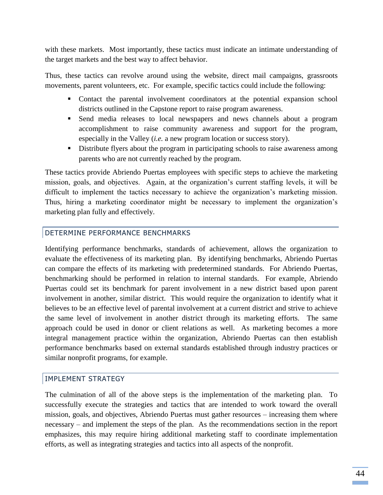with these markets. Most importantly, these tactics must indicate an intimate understanding of the target markets and the best way to affect behavior.

Thus, these tactics can revolve around using the website, direct mail campaigns, grassroots movements, parent volunteers, etc. For example, specific tactics could include the following:

- Contact the parental involvement coordinators at the potential expansion school districts outlined in the Capstone report to raise program awareness.
- Send media releases to local newspapers and news channels about a program accomplishment to raise community awareness and support for the program, especially in the Valley (*i.e.* a new program location or success story).
- Distribute flyers about the program in participating schools to raise awareness among parents who are not currently reached by the program.

These tactics provide Abriendo Puertas employees with specific steps to achieve the marketing mission, goals, and objectives. Again, at the organization's current staffing levels, it will be difficult to implement the tactics necessary to achieve the organization's marketing mission. Thus, hiring a marketing coordinator might be necessary to implement the organization's marketing plan fully and effectively.

# DETERMINE PERFORMANCE BENCHMARKS

Identifying performance benchmarks, standards of achievement, allows the organization to evaluate the effectiveness of its marketing plan. By identifying benchmarks, Abriendo Puertas can compare the effects of its marketing with predetermined standards. For Abriendo Puertas, benchmarking should be performed in relation to internal standards. For example, Abriendo Puertas could set its benchmark for parent involvement in a new district based upon parent involvement in another, similar district. This would require the organization to identify what it believes to be an effective level of parental involvement at a current district and strive to achieve the same level of involvement in another district through its marketing efforts. The same approach could be used in donor or client relations as well. As marketing becomes a more integral management practice within the organization, Abriendo Puertas can then establish performance benchmarks based on external standards established through industry practices or similar nonprofit programs, for example.

#### IMPLEMENT STRATEGY

The culmination of all of the above steps is the implementation of the marketing plan. To successfully execute the strategies and tactics that are intended to work toward the overall mission, goals, and objectives, Abriendo Puertas must gather resources – increasing them where necessary – and implement the steps of the plan. As the recommendations section in the report emphasizes, this may require hiring additional marketing staff to coordinate implementation efforts, as well as integrating strategies and tactics into all aspects of the nonprofit.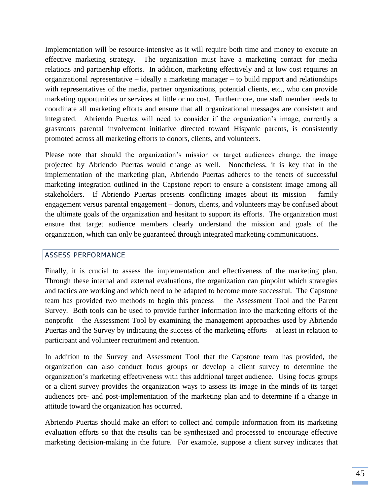Implementation will be resource-intensive as it will require both time and money to execute an effective marketing strategy. The organization must have a marketing contact for media relations and partnership efforts. In addition, marketing effectively and at low cost requires an organizational representative – ideally a marketing manager – to build rapport and relationships with representatives of the media, partner organizations, potential clients, etc., who can provide marketing opportunities or services at little or no cost. Furthermore, one staff member needs to coordinate all marketing efforts and ensure that all organizational messages are consistent and integrated. Abriendo Puertas will need to consider if the organization's image, currently a grassroots parental involvement initiative directed toward Hispanic parents, is consistently promoted across all marketing efforts to donors, clients, and volunteers.

Please note that should the organization's mission or target audiences change, the image projected by Abriendo Puertas would change as well. Nonetheless, it is key that in the implementation of the marketing plan, Abriendo Puertas adheres to the tenets of successful marketing integration outlined in the Capstone report to ensure a consistent image among all stakeholders. If Abriendo Puertas presents conflicting images about its mission – family engagement versus parental engagement – donors, clients, and volunteers may be confused about the ultimate goals of the organization and hesitant to support its efforts. The organization must ensure that target audience members clearly understand the mission and goals of the organization, which can only be guaranteed through integrated marketing communications.

#### ASSESS PERFORMANCE

Finally, it is crucial to assess the implementation and effectiveness of the marketing plan. Through these internal and external evaluations, the organization can pinpoint which strategies and tactics are working and which need to be adapted to become more successful. The Capstone team has provided two methods to begin this process – the Assessment Tool and the Parent Survey. Both tools can be used to provide further information into the marketing efforts of the nonprofit – the Assessment Tool by examining the management approaches used by Abriendo Puertas and the Survey by indicating the success of the marketing efforts – at least in relation to participant and volunteer recruitment and retention.

In addition to the Survey and Assessment Tool that the Capstone team has provided, the organization can also conduct focus groups or develop a client survey to determine the organization's marketing effectiveness with this additional target audience. Using focus groups or a client survey provides the organization ways to assess its image in the minds of its target audiences pre- and post-implementation of the marketing plan and to determine if a change in attitude toward the organization has occurred.

Abriendo Puertas should make an effort to collect and compile information from its marketing evaluation efforts so that the results can be synthesized and processed to encourage effective marketing decision-making in the future. For example, suppose a client survey indicates that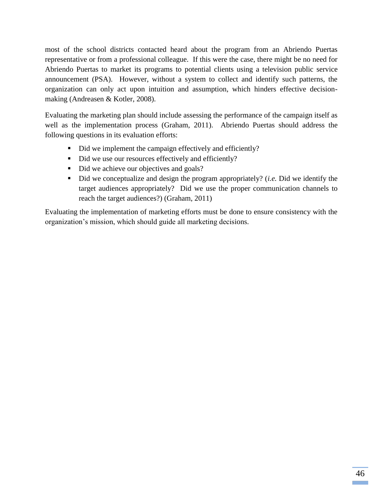most of the school districts contacted heard about the program from an Abriendo Puertas representative or from a professional colleague. If this were the case, there might be no need for Abriendo Puertas to market its programs to potential clients using a television public service announcement (PSA). However, without a system to collect and identify such patterns, the organization can only act upon intuition and assumption, which hinders effective decisionmaking (Andreasen & Kotler, 2008).

Evaluating the marketing plan should include assessing the performance of the campaign itself as well as the implementation process (Graham, 2011). Abriendo Puertas should address the following questions in its evaluation efforts:

- Did we implement the campaign effectively and efficiently?
- Did we use our resources effectively and efficiently?
- Did we achieve our objectives and goals?
- Did we conceptualize and design the program appropriately? (*i.e.* Did we identify the target audiences appropriately? Did we use the proper communication channels to reach the target audiences?) (Graham, 2011)

Evaluating the implementation of marketing efforts must be done to ensure consistency with the organization's mission, which should guide all marketing decisions.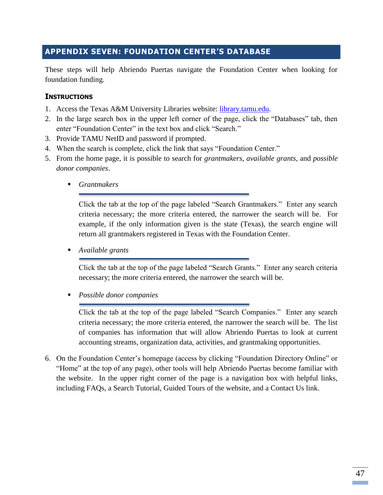# **APPENDIX SEVEN: FOUNDATION CENTER'S DATABASE**

These steps will help Abriendo Puertas navigate the Foundation Center when looking for foundation funding.

#### **INSTRUCTIONS**

- 1. Access the Texas A&M University Libraries website: [library.tamu.edu.](file:///C:/Users/Heather/Downloads/library.tamu.edu)
- 2. In the large search box in the upper left corner of the page, click the "Databases" tab, then enter "Foundation Center" in the text box and click "Search."
- 3. Provide TAMU NetID and password if prompted.
- 4. When the search is complete, click the link that says "Foundation Center."
- 5. From the home page, it is possible to search for *grantmakers*, *available grants*, and *possible donor companies*.
	- *Grantmakers*

Click the tab at the top of the page labeled "Search Grantmakers." Enter any search criteria necessary; the more criteria entered, the narrower the search will be. For example, if the only information given is the state (Texas), the search engine will return all grantmakers registered in Texas with the Foundation Center.

*Available grants*

Click the tab at the top of the page labeled "Search Grants." Enter any search criteria necessary; the more criteria entered, the narrower the search will be.

*Possible donor companies*

Click the tab at the top of the page labeled "Search Companies." Enter any search criteria necessary; the more criteria entered, the narrower the search will be. The list of companies has information that will allow Abriendo Puertas to look at current accounting streams, organization data, activities, and grantmaking opportunities.

6. On the Foundation Center's homepage (access by clicking "Foundation Directory Online" or "Home" at the top of any page), other tools will help Abriendo Puertas become familiar with the website. In the upper right corner of the page is a navigation box with helpful links, including FAQs, a Search Tutorial, Guided Tours of the website, and a Contact Us link.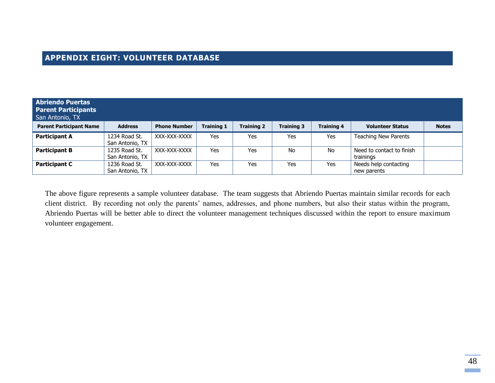# **APPENDIX EIGHT: VOLUNTEER DATABASE**

| <b>Abriendo Puertas</b><br><b>Parent Participants</b><br>San Antonio, TX |                                  |                     |                   |            |                   |                   |                                        |              |
|--------------------------------------------------------------------------|----------------------------------|---------------------|-------------------|------------|-------------------|-------------------|----------------------------------------|--------------|
| <b>Parent Participant Name</b>                                           | <b>Address</b>                   | <b>Phone Number</b> | <b>Training 1</b> | Training 2 | <b>Training 3</b> | <b>Training 4</b> | <b>Volunteer Status</b>                | <b>Notes</b> |
| <b>Participant A</b>                                                     | 1234 Road St.<br>San Antonio, TX | XXX-XXX-XXXX        | Yes               | Yes        | Yes               | <b>Yes</b>        | <b>Teaching New Parents</b>            |              |
| <b>Participant B</b>                                                     | 1235 Road St.<br>San Antonio, TX | XXX-XXX-XXXX        | Yes               | Yes        | No.               | No.               | Need to contact to finish<br>trainings |              |
| <b>Participant C</b>                                                     | 1236 Road St.<br>San Antonio, TX | XXX-XXX-XXXX        | Yes               | Yes        | Yes               | Yes               | Needs help contacting<br>new parents   |              |

The above figure represents a sample volunteer database. The team suggests that Abriendo Puertas maintain similar records for each client district. By recording not only the parents' names, addresses, and phone numbers, but also their status within the program, Abriendo Puertas will be better able to direct the volunteer management techniques discussed within the report to ensure maximum volunteer engagement.